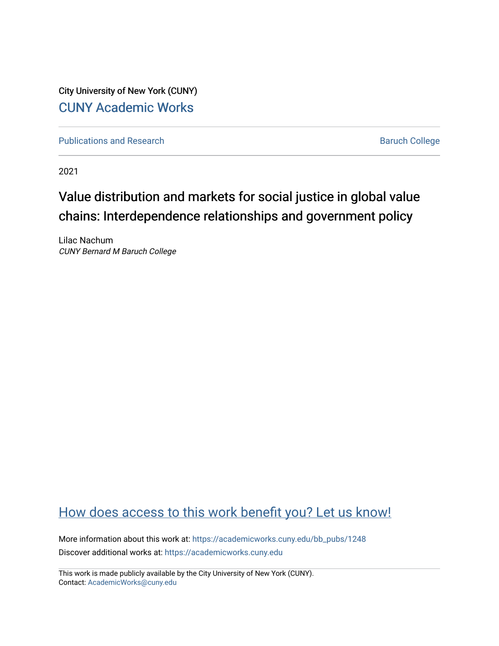City University of New York (CUNY) [CUNY Academic Works](https://academicworks.cuny.edu/) 

[Publications and Research](https://academicworks.cuny.edu/bb_pubs) **Baruch College** Baruch College

2021

# Value distribution and markets for social justice in global value chains: Interdependence relationships and government policy

Lilac Nachum CUNY Bernard M Baruch College

# [How does access to this work benefit you? Let us know!](http://ols.cuny.edu/academicworks/?ref=https://academicworks.cuny.edu/bb_pubs/1248)

More information about this work at: [https://academicworks.cuny.edu/bb\\_pubs/1248](https://academicworks.cuny.edu/bb_pubs/1248) Discover additional works at: [https://academicworks.cuny.edu](https://academicworks.cuny.edu/?)

This work is made publicly available by the City University of New York (CUNY). Contact: [AcademicWorks@cuny.edu](mailto:AcademicWorks@cuny.edu)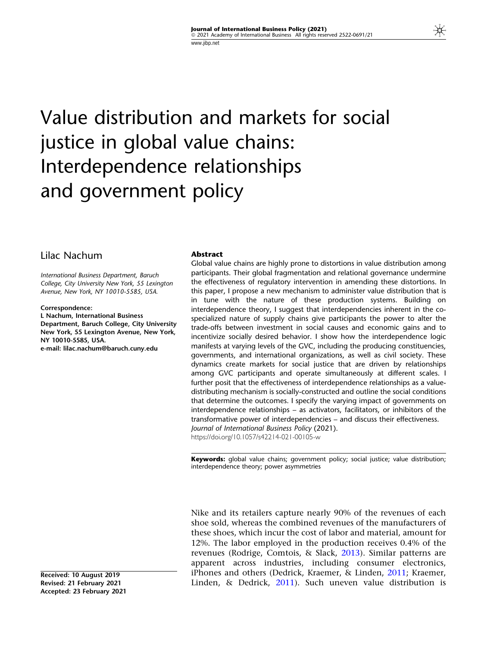# Value distribution and markets for social justice in global value chains: Interdependence relationships and government policy

# Lilac Nachum

International Business Department, Baruch College, City University New York, 55 Lexington Avenue, New York, NY 10010-5585, USA.

#### Correspondence:

L Nachum, International Business Department, Baruch College, City University New York, 55 Lexington Avenue, New York, NY 10010-5585, USA.

e-mail: lilac.nachum@baruch.cuny.edu

#### Abstract

Global value chains are highly prone to distortions in value distribution among participants. Their global fragmentation and relational governance undermine the effectiveness of regulatory intervention in amending these distortions. In this paper, I propose a new mechanism to administer value distribution that is in tune with the nature of these production systems. Building on interdependence theory, I suggest that interdependencies inherent in the cospecialized nature of supply chains give participants the power to alter the trade-offs between investment in social causes and economic gains and to incentivize socially desired behavior. I show how the interdependence logic manifests at varying levels of the GVC, including the producing constituencies, governments, and international organizations, as well as civil society. These dynamics create markets for social justice that are driven by relationships among GVC participants and operate simultaneously at different scales. I further posit that the effectiveness of interdependence relationships as a valuedistributing mechanism is socially-constructed and outline the social conditions that determine the outcomes. I specify the varying impact of governments on interdependence relationships – as activators, facilitators, or inhibitors of the transformative power of interdependencies – and discuss their effectiveness. Journal of International Business Policy (2021). https://doi.org/10.1057/s42214-021-00105-w

Keywords: global value chains; government policy; social justice; value distribution; interdependence theory; power asymmetries

Nike and its retailers capture nearly 90% of the revenues of each shoe sold, whereas the combined revenues of the manufacturers of these shoes, which incur the cost of labor and material, amount for 12%. The labor employed in the production receives 0.4% of the revenues (Rodrige, Comtois, & Slack, [2013](#page-22-0)). Similar patterns are apparent across industries, including consumer electronics, iPhones and others (Dedrick, Kraemer, & Linden, [2011;](#page-21-0) Kraemer, Linden, & Dedrick, [2011](#page-22-0)). Such uneven value distribution is

Received: 10 August 2019 Revised: 21 February 2021 Accepted: 23 February 2021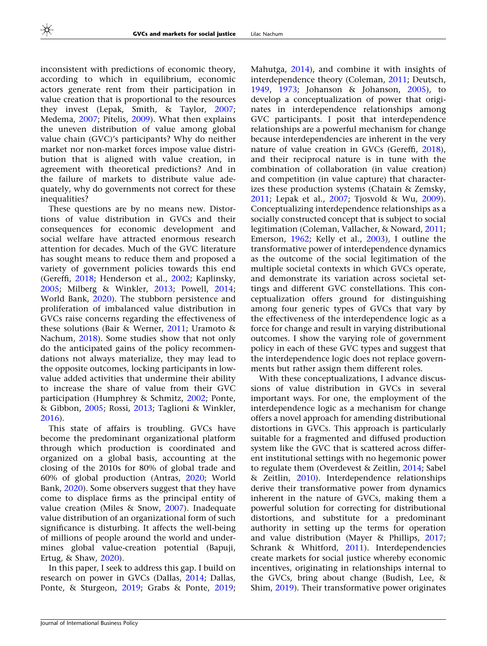inconsistent with predictions of economic theory, according to which in equilibrium, economic actors generate rent from their participation in value creation that is proportional to the resources they invest (Lepak, Smith, & Taylor, [2007;](#page-22-0) Medema, [2007](#page-22-0); Pitelis, [2009\)](#page-22-0). What then explains the uneven distribution of value among global value chain (GVC)'s participants? Why do neither market nor non-market forces impose value distribution that is aligned with value creation, in agreement with theoretical predictions? And in the failure of markets to distribute value adequately, why do governments not correct for these inequalities?

These questions are by no means new. Distortions of value distribution in GVCs and their consequences for economic development and social welfare have attracted enormous research attention for decades. Much of the GVC literature has sought means to reduce them and proposed a variety of government policies towards this end (Gereffi, [2018;](#page-21-0) Henderson et al., [2002](#page-21-0); Kaplinsky, [2005;](#page-21-0) Milberg & Winkler, [2013;](#page-22-0) Powell, [2014;](#page-22-0) World Bank, [2020\)](#page-23-0). The stubborn persistence and proliferation of imbalanced value distribution in GVCs raise concerns regarding the effectiveness of these solutions (Bair & Werner, [2011](#page-20-0); Uramoto & Nachum, [2018](#page-23-0)). Some studies show that not only do the anticipated gains of the policy recommendations not always materialize, they may lead to the opposite outcomes, locking participants in lowvalue added activities that undermine their ability to increase the share of value from their GVC participation (Humphrey & Schmitz, [2002;](#page-21-0) Ponte, & Gibbon, [2005;](#page-22-0) Rossi, [2013;](#page-22-0) Taglioni & Winkler, [2016\)](#page-23-0).

This state of affairs is troubling. GVCs have become the predominant organizational platform through which production is coordinated and organized on a global basis, accounting at the closing of the 2010s for 80% of global trade and 60% of global production (Antras, [2020](#page-20-0); World Bank, [2020](#page-23-0)). Some observers suggest that they have come to displace firms as the principal entity of value creation (Miles & Snow, [2007\)](#page-22-0). Inadequate value distribution of an organizational form of such significance is disturbing. It affects the well-being of millions of people around the world and undermines global value-creation potential (Bapuji, Ertug, & Shaw, [2020\)](#page-20-0).

In this paper, I seek to address this gap. I build on research on power in GVCs (Dallas, [2014;](#page-20-0) Dallas, Ponte, & Sturgeon, [2019](#page-20-0); Grabs & Ponte, [2019;](#page-21-0) Mahutga, [2014\)](#page-22-0), and combine it with insights of interdependence theory (Coleman, [2011](#page-20-0); Deutsch, [1949,](#page-21-0) [1973;](#page-21-0) Johanson & Johanson, [2005](#page-21-0)), to develop a conceptualization of power that originates in interdependence relationships among GVC participants. I posit that interdependence relationships are a powerful mechanism for change because interdependencies are inherent in the very nature of value creation in GVCs (Gereffi, [2018](#page-21-0)), and their reciprocal nature is in tune with the combination of collaboration (in value creation) and competition (in value capture) that characterizes these production systems (Chatain & Zemsky, [2011;](#page-20-0) Lepak et al., [2007;](#page-22-0) Tjosvold & Wu, [2009](#page-23-0)). Conceptualizing interdependence relationships as a socially constructed concept that is subject to social legitimation (Coleman, Vallacher, & Noward, [2011;](#page-20-0) Emerson, [1962](#page-21-0); Kelly et al., [2003](#page-22-0)), I outline the transformative power of interdependence dynamics as the outcome of the social legitimation of the multiple societal contexts in which GVCs operate, and demonstrate its variation across societal settings and different GVC constellations. This conceptualization offers ground for distinguishing among four generic types of GVCs that vary by the effectiveness of the interdependence logic as a force for change and result in varying distributional outcomes. I show the varying role of government policy in each of these GVC types and suggest that the interdependence logic does not replace governments but rather assign them different roles.

With these conceptualizations, I advance discussions of value distribution in GVCs in several important ways. For one, the employment of the interdependence logic as a mechanism for change offers a novel approach for amending distributional distortions in GVCs. This approach is particularly suitable for a fragmented and diffused production system like the GVC that is scattered across different institutional settings with no hegemonic power to regulate them (Overdevest & Zeitlin, [2014;](#page-22-0) Sabel & Zeitlin, [2010\)](#page-23-0). Interdependence relationships derive their transformative power from dynamics inherent in the nature of GVCs, making them a powerful solution for correcting for distributional distortions, and substitute for a predominant authority in setting up the terms for operation and value distribution (Mayer & Phillips, [2017;](#page-22-0) Schrank & Whitford, [2011](#page-23-0)). Interdependencies create markets for social justice whereby economic incentives, originating in relationships internal to the GVCs, bring about change (Budish, Lee, & Shim, [2019\)](#page-20-0). Their transformative power originates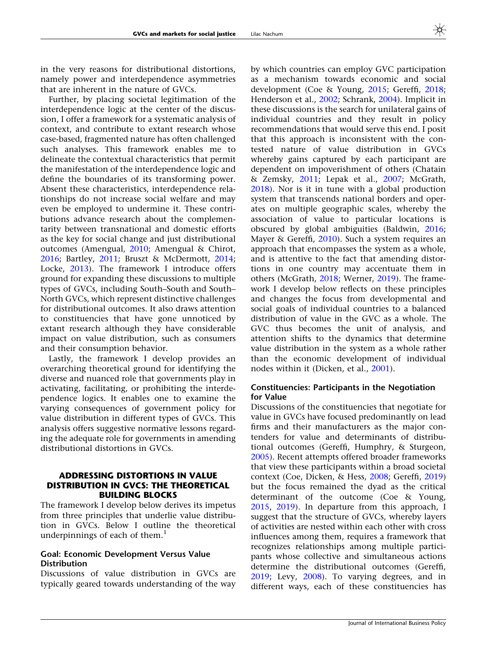in the very reasons for distributional distortions, namely power and interdependence asymmetries that are inherent in the nature of GVCs.

Further, by placing societal legitimation of the interdependence logic at the center of the discussion, I offer a framework for a systematic analysis of context, and contribute to extant research whose case-based, fragmented nature has often challenged such analyses. This framework enables me to delineate the contextual characteristics that permit the manifestation of the interdependence logic and define the boundaries of its transforming power. Absent these characteristics, interdependence relationships do not increase social welfare and may even be employed to undermine it. These contributions advance research about the complementarity between transnational and domestic efforts as the key for social change and just distributional outcomes (Amengual, [2010;](#page-20-0) Amengual & Chirot, [2016;](#page-20-0) Bartley, [2011](#page-20-0); Bruszt & McDermott, [2014;](#page-20-0) Locke, [2013\)](#page-22-0). The framework I introduce offers ground for expanding these discussions to multiple types of GVCs, including South–South and South– North GVCs, which represent distinctive challenges for distributional outcomes. It also draws attention to constituencies that have gone unnoticed by extant research although they have considerable impact on value distribution, such as consumers and their consumption behavior.

Lastly, the framework I develop provides an overarching theoretical ground for identifying the diverse and nuanced role that governments play in activating, facilitating, or prohibiting the interdependence logics. It enables one to examine the varying consequences of government policy for value distribution in different types of GVCs. This analysis offers suggestive normative lessons regarding the adequate role for governments in amending distributional distortions in GVCs.

# ADDRESSING DISTORTIONS IN VALUE DISTRIBUTION IN GVCS: THE THEORETICAL BUILDING BLOCKS

The framework I develop below derives its impetus from three principles that underlie value distribution in GVCs. Below I outline the theoretical underpinnings of each of them. $<sup>1</sup>$ </sup>

## Goal: Economic Development Versus Value **Distribution**

Discussions of value distribution in GVCs are typically geared towards understanding of the way by which countries can employ GVC participation as a mechanism towards economic and social development (Coe & Young, [2015](#page-20-0); Gereffi, [2018;](#page-21-0) Henderson et al., [2002](#page-21-0); Schrank, [2004\)](#page-23-0). Implicit in these discussions is the search for unilateral gains of individual countries and they result in policy recommendations that would serve this end. I posit that this approach is inconsistent with the contested nature of value distribution in GVCs whereby gains captured by each participant are dependent on impoverishment of others (Chatain & Zemsky, [2011](#page-20-0); Lepak et al., [2007;](#page-22-0) McGrath, [2018\)](#page-22-0). Nor is it in tune with a global production system that transcends national borders and operates on multiple geographic scales, whereby the association of value to particular locations is obscured by global ambiguities (Baldwin, [2016;](#page-20-0) Mayer & Gereffi, [2010](#page-22-0)). Such a system requires an approach that encompasses the system as a whole, and is attentive to the fact that amending distortions in one country may accentuate them in others (McGrath, [2018;](#page-22-0) Werner, [2019](#page-23-0)). The framework I develop below reflects on these principles and changes the focus from developmental and social goals of individual countries to a balanced distribution of value in the GVC as a whole. The GVC thus becomes the unit of analysis, and attention shifts to the dynamics that determine value distribution in the system as a whole rather than the economic development of individual nodes within it (Dicken, et al., [2001](#page-21-0)).

# Constituencies: Participants in the Negotiation for Value

Discussions of the constituencies that negotiate for value in GVCs have focused predominantly on lead firms and their manufacturers as the major contenders for value and determinants of distributional outcomes (Gereffi, Humphry, & Sturgeon, [2005\)](#page-21-0). Recent attempts offered broader frameworks that view these participants within a broad societal context (Coe, Dicken, & Hess, [2008](#page-20-0); Gereffi, [2019](#page-21-0)) but the focus remained the dyad as the critical determinant of the outcome (Coe & Young, [2015,](#page-20-0) [2019](#page-20-0)). In departure from this approach, I suggest that the structure of GVCs, whereby layers of activities are nested within each other with cross influences among them, requires a framework that recognizes relationships among multiple participants whose collective and simultaneous actions determine the distributional outcomes (Gereffi, [2019;](#page-21-0) Levy, [2008\)](#page-22-0). To varying degrees, and in different ways, each of these constituencies has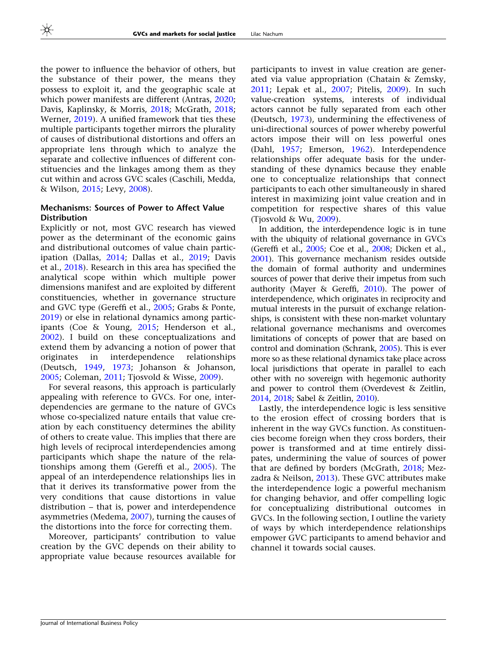the power to influence the behavior of others, but the substance of their power, the means they possess to exploit it, and the geographic scale at which power manifests are different (Antras, [2020;](#page-20-0) Davis, Kaplinsky, & Morris, [2018](#page-21-0); McGrath, [2018;](#page-22-0) Werner, [2019](#page-23-0)). A unified framework that ties these multiple participants together mirrors the plurality of causes of distributional distortions and offers an appropriate lens through which to analyze the separate and collective influences of different constituencies and the linkages among them as they cut within and across GVC scales (Caschili, Medda, & Wilson, [2015](#page-20-0); Levy, [2008](#page-22-0)).

# Mechanisms: Sources of Power to Affect Value Distribution

Explicitly or not, most GVC research has viewed power as the determinant of the economic gains and distributional outcomes of value chain participation (Dallas, [2014;](#page-20-0) Dallas et al., [2019;](#page-20-0) Davis et al., [2018\)](#page-21-0). Research in this area has specified the analytical scope within which multiple power dimensions manifest and are exploited by different constituencies, whether in governance structure and GVC type (Gereffi et al., [2005;](#page-21-0) Grabs & Ponte, [2019\)](#page-21-0) or else in relational dynamics among participants (Coe & Young, [2015](#page-20-0); Henderson et al., [2002\)](#page-21-0). I build on these conceptualizations and extend them by advancing a notion of power that originates in interdependence relationships (Deutsch, [1949,](#page-21-0) [1973](#page-21-0); Johanson & Johanson, [2005;](#page-21-0) Coleman, [2011](#page-20-0); Tjosvold & Wisse, [2009\)](#page-23-0).

For several reasons, this approach is particularly appealing with reference to GVCs. For one, interdependencies are germane to the nature of GVCs whose co-specialized nature entails that value creation by each constituency determines the ability of others to create value. This implies that there are high levels of reciprocal interdependencies among participants which shape the nature of the relationships among them (Gereffi et al., [2005](#page-21-0)). The appeal of an interdependence relationships lies in that it derives its transformative power from the very conditions that cause distortions in value distribution – that is, power and interdependence asymmetries (Medema, [2007](#page-22-0)), turning the causes of the distortions into the force for correcting them.

Moreover, participants' contribution to value creation by the GVC depends on their ability to appropriate value because resources available for

participants to invest in value creation are generated via value appropriation (Chatain & Zemsky, [2011;](#page-20-0) Lepak et al., [2007](#page-22-0); Pitelis, [2009](#page-22-0)). In such value-creation systems, interests of individual actors cannot be fully separated from each other (Deutsch, [1973](#page-21-0)), undermining the effectiveness of uni-directional sources of power whereby powerful actors impose their will on less powerful ones (Dahl, [1957;](#page-20-0) Emerson, [1962](#page-21-0)). Interdependence relationships offer adequate basis for the understanding of these dynamics because they enable one to conceptualize relationships that connect participants to each other simultaneously in shared interest in maximizing joint value creation and in competition for respective shares of this value (Tiosvold  $\&$  Wu, [2009\)](#page-23-0).

In addition, the interdependence logic is in tune with the ubiquity of relational governance in GVCs (Gereffi et al., [2005](#page-21-0); Coe et al., [2008](#page-20-0); Dicken et al., [2001\)](#page-21-0). This governance mechanism resides outside the domain of formal authority and undermines sources of power that derive their impetus from such authority (Mayer & Gereffi, [2010](#page-22-0)). The power of interdependence, which originates in reciprocity and mutual interests in the pursuit of exchange relationships, is consistent with these non-market voluntary relational governance mechanisms and overcomes limitations of concepts of power that are based on control and domination (Schrank, [2005](#page-23-0)). This is ever more so as these relational dynamics take place across local jurisdictions that operate in parallel to each other with no sovereign with hegemonic authority and power to control them (Overdevest & Zeitlin, [2014,](#page-22-0) [2018](#page-22-0); Sabel & Zeitlin, [2010\)](#page-23-0).

Lastly, the interdependence logic is less sensitive to the erosion effect of crossing borders that is inherent in the way GVCs function. As constituencies become foreign when they cross borders, their power is transformed and at time entirely dissipates, undermining the value of sources of power that are defined by borders (McGrath, [2018](#page-22-0); Mezzadra & Neilson, [2013\)](#page-22-0). These GVC attributes make the interdependence logic a powerful mechanism for changing behavior, and offer compelling logic for conceptualizing distributional outcomes in GVCs. In the following section, I outline the variety of ways by which interdependence relationships empower GVC participants to amend behavior and channel it towards social causes.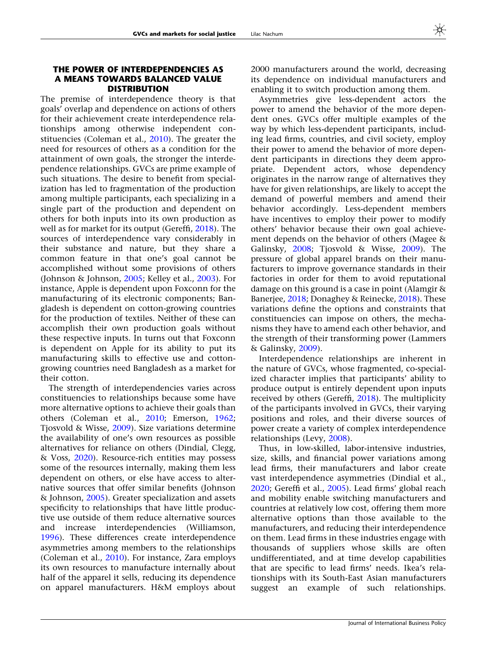# THE POWER OF INTERDEPENDENCIES AS A MEANS TOWARDS BALANCED VALUE **DISTRIBUTION**

The premise of interdependence theory is that goals' overlap and dependence on actions of others for their achievement create interdependence relationships among otherwise independent constituencies (Coleman et al., [2010\)](#page-20-0). The greater the need for resources of others as a condition for the attainment of own goals, the stronger the interdependence relationships. GVCs are prime example of such situations. The desire to benefit from specialization has led to fragmentation of the production among multiple participants, each specializing in a single part of the production and dependent on others for both inputs into its own production as well as for market for its output (Gereffi, [2018\)](#page-21-0). The sources of interdependence vary considerably in their substance and nature, but they share a common feature in that one's goal cannot be accomplished without some provisions of others (Johnson & Johnson, [2005;](#page-21-0) Kelley et al., [2003\)](#page-22-0). For instance, Apple is dependent upon Foxconn for the manufacturing of its electronic components; Bangladesh is dependent on cotton-growing countries for the production of textiles. Neither of these can accomplish their own production goals without these respective inputs. In turns out that Foxconn is dependent on Apple for its ability to put its manufacturing skills to effective use and cottongrowing countries need Bangladesh as a market for their cotton.

The strength of interdependencies varies across constituencies to relationships because some have more alternative options to achieve their goals than others (Coleman et al., [2010;](#page-20-0) Emerson, [1962;](#page-21-0) Tjosvold & Wisse, [2009](#page-23-0)). Size variations determine the availability of one's own resources as possible alternatives for reliance on others (Dindial, Clegg, & Voss, [2020\)](#page-21-0). Resource-rich entities may possess some of the resources internally, making them less dependent on others, or else have access to alternative sources that offer similar benefits (Johnson & Johnson, [2005\)](#page-21-0). Greater specialization and assets specificity to relationships that have little productive use outside of them reduce alternative sources and increase interdependencies (Williamson, [1996\)](#page-23-0). These differences create interdependence asymmetries among members to the relationships (Coleman et al., [2010\)](#page-20-0). For instance, Zara employs its own resources to manufacture internally about half of the apparel it sells, reducing its dependence on apparel manufacturers. H&M employs about

2000 manufacturers around the world, decreasing its dependence on individual manufacturers and enabling it to switch production among them.

Asymmetries give less-dependent actors the power to amend the behavior of the more dependent ones. GVCs offer multiple examples of the way by which less-dependent participants, including lead firms, countries, and civil society, employ their power to amend the behavior of more dependent participants in directions they deem appropriate. Dependent actors, whose dependency originates in the narrow range of alternatives they have for given relationships, are likely to accept the demand of powerful members and amend their behavior accordingly. Less-dependent members have incentives to employ their power to modify others' behavior because their own goal achievement depends on the behavior of others (Magee & Galinsky, [2008;](#page-22-0) Tjosvold & Wisse, [2009](#page-23-0)). The pressure of global apparel brands on their manufacturers to improve governance standards in their factories in order for them to avoid reputational damage on this ground is a case in point (Alamgir & Banerjee, [2018;](#page-19-0) Donaghey & Reinecke, [2018](#page-21-0)). These variations define the options and constraints that constituencies can impose on others, the mechanisms they have to amend each other behavior, and the strength of their transforming power (Lammers & Galinsky, [2009](#page-22-0)).

Interdependence relationships are inherent in the nature of GVCs, whose fragmented, co-specialized character implies that participants' ability to produce output is entirely dependent upon inputs received by others (Gereffi, [2018\)](#page-21-0). The multiplicity of the participants involved in GVCs, their varying positions and roles, and their diverse sources of power create a variety of complex interdependence relationships (Levy, [2008\)](#page-22-0).

Thus, in low-skilled, labor-intensive industries, size, skills, and financial power variations among lead firms, their manufacturers and labor create vast interdependence asymmetries (Dindial et al., [2020;](#page-21-0) Gereffi et al., [2005](#page-21-0)). Lead firms' global reach and mobility enable switching manufacturers and countries at relatively low cost, offering them more alternative options than those available to the manufacturers, and reducing their interdependence on them. Lead firms in these industries engage with thousands of suppliers whose skills are often undifferentiated, and at time develop capabilities that are specific to lead firms' needs. Ikea's relationships with its South-East Asian manufacturers suggest an example of such relationships.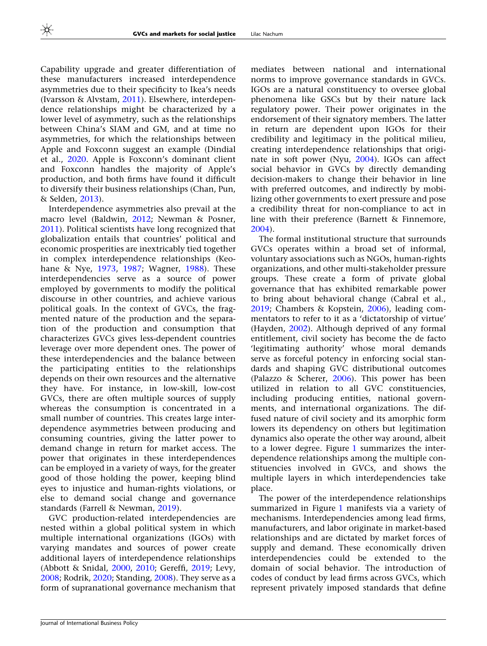Capability upgrade and greater differentiation of these manufacturers increased interdependence asymmetries due to their specificity to Ikea's needs (Ivarsson & Alvstam, [2011\)](#page-21-0). Elsewhere, interdependence relationships might be characterized by a lower level of asymmetry, such as the relationships between China's SIAM and GM, and at time no asymmetries, for which the relationships between Apple and Foxconn suggest an example (Dindial et al., [2020](#page-21-0). Apple is Foxconn's dominant client and Foxconn handles the majority of Apple's production, and both firms have found it difficult to diversify their business relationships (Chan, Pun, & Selden, [2013\)](#page-20-0).

Interdependence asymmetries also prevail at the macro level (Baldwin, [2012;](#page-20-0) Newman & Posner, [2011\)](#page-22-0). Political scientists have long recognized that globalization entails that countries' political and economic prosperities are inextricably tied together in complex interdependence relationships (Keohane & Nye, [1973,](#page-22-0) [1987](#page-22-0); Wagner, [1988\)](#page-23-0). These interdependencies serve as a source of power employed by governments to modify the political discourse in other countries, and achieve various political goals. In the context of GVCs, the fragmented nature of the production and the separation of the production and consumption that characterizes GVCs gives less-dependent countries leverage over more dependent ones. The power of these interdependencies and the balance between the participating entities to the relationships depends on their own resources and the alternative they have. For instance, in low-skill, low-cost GVCs, there are often multiple sources of supply whereas the consumption is concentrated in a small number of countries. This creates large interdependence asymmetries between producing and consuming countries, giving the latter power to demand change in return for market access. The power that originates in these interdependences can be employed in a variety of ways, for the greater good of those holding the power, keeping blind eyes to injustice and human-rights violations, or else to demand social change and governance standards (Farrell & Newman, [2019\)](#page-21-0).

GVC production-related interdependencies are nested within a global political system in which multiple international organizations (IGOs) with varying mandates and sources of power create additional layers of interdependence relationships (Abbott & Snidal, [2000](#page-19-0), [2010](#page-19-0); Gereffi, [2019;](#page-21-0) Levy, [2008;](#page-22-0) Rodrik, [2020;](#page-22-0) Standing, [2008\)](#page-23-0). They serve as a form of supranational governance mechanism that mediates between national and international norms to improve governance standards in GVCs. IGOs are a natural constituency to oversee global phenomena like GSCs but by their nature lack regulatory power. Their power originates in the endorsement of their signatory members. The latter in return are dependent upon IGOs for their credibility and legitimacy in the political milieu, creating interdependence relationships that originate in soft power (Nyu, [2004\)](#page-22-0). IGOs can affect social behavior in GVCs by directly demanding decision-makers to change their behavior in line with preferred outcomes, and indirectly by mobilizing other governments to exert pressure and pose a credibility threat for non-compliance to act in line with their preference (Barnett & Finnemore, [2004\)](#page-20-0).

The formal institutional structure that surrounds GVCs operates within a broad set of informal, voluntary associations such as NGOs, human-rights organizations, and other multi-stakeholder pressure groups. These create a form of private global governance that has exhibited remarkable power to bring about behavioral change (Cabral et al., [2019;](#page-20-0) Chambers & Kopstein, [2006](#page-20-0)), leading commentators to refer to it as a 'dictatorship of virtue' (Hayden, [2002](#page-21-0)). Although deprived of any formal entitlement, civil society has become the de facto 'legitimating authority' whose moral demands serve as forceful potency in enforcing social standards and shaping GVC distributional outcomes (Palazzo & Scherer, [2006\)](#page-22-0). This power has been utilized in relation to all GVC constituencies, including producing entities, national governments, and international organizations. The diffused nature of civil society and its amorphic form lowers its dependency on others but legitimation dynamics also operate the other way around, albeit to a lower degree. Figure [1](#page-7-0) summarizes the interdependence relationships among the multiple constituencies involved in GVCs, and shows the multiple layers in which interdependencies take place.

The power of the interdependence relationships summarized in Figure [1](#page-7-0) manifests via a variety of mechanisms. Interdependencies among lead firms, manufacturers, and labor originate in market-based relationships and are dictated by market forces of supply and demand. These economically driven interdependencies could be extended to the domain of social behavior. The introduction of codes of conduct by lead firms across GVCs, which represent privately imposed standards that define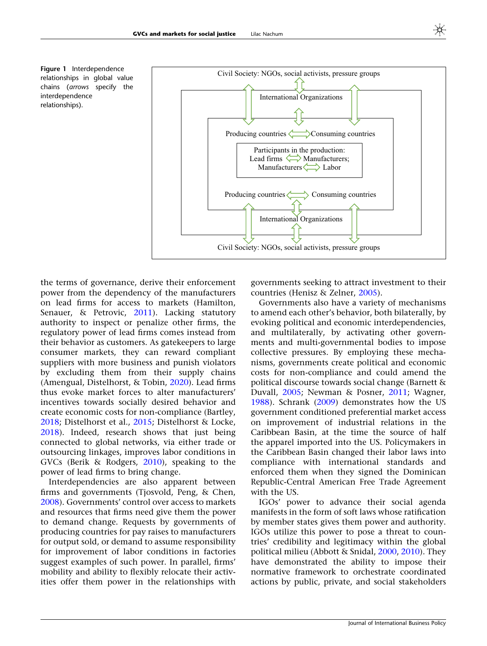<span id="page-7-0"></span>Figure 1 Interdependence relationships in global value chains (arrows specify the interdependence relationships).



the terms of governance, derive their enforcement power from the dependency of the manufacturers on lead firms for access to markets (Hamilton, Senauer, & Petrovic, [2011\)](#page-21-0). Lacking statutory authority to inspect or penalize other firms, the regulatory power of lead firms comes instead from their behavior as customers. As gatekeepers to large consumer markets, they can reward compliant suppliers with more business and punish violators by excluding them from their supply chains (Amengual, Distelhorst, & Tobin, [2020\)](#page-20-0). Lead firms thus evoke market forces to alter manufacturers' incentives towards socially desired behavior and create economic costs for non-compliance (Bartley, [2018;](#page-20-0) Distelhorst et al., [2015](#page-21-0); Distelhorst & Locke, [2018\)](#page-21-0). Indeed, research shows that just being connected to global networks, via either trade or outsourcing linkages, improves labor conditions in GVCs (Berik & Rodgers, [2010](#page-20-0)), speaking to the power of lead firms to bring change.

Interdependencies are also apparent between firms and governments (Tjosvold, Peng, & Chen, [2008\)](#page-23-0). Governments' control over access to markets and resources that firms need give them the power to demand change. Requests by governments of producing countries for pay raises to manufacturers for output sold, or demand to assume responsibility for improvement of labor conditions in factories suggest examples of such power. In parallel, firms' mobility and ability to flexibly relocate their activities offer them power in the relationships with

governments seeking to attract investment to their countries (Henisz & Zelner, [2005\)](#page-21-0).

Governments also have a variety of mechanisms to amend each other's behavior, both bilaterally, by evoking political and economic interdependencies, and multilaterally, by activating other governments and multi-governmental bodies to impose collective pressures. By employing these mechanisms, governments create political and economic costs for non-compliance and could amend the political discourse towards social change (Barnett & Duvall, [2005](#page-20-0); Newman & Posner, [2011](#page-22-0); Wagner, [1988\)](#page-23-0). Schrank ([2009](#page-23-0)) demonstrates how the US government conditioned preferential market access on improvement of industrial relations in the Caribbean Basin, at the time the source of half the apparel imported into the US. Policymakers in the Caribbean Basin changed their labor laws into compliance with international standards and enforced them when they signed the Dominican Republic-Central American Free Trade Agreement with the US.

IGOs' power to advance their social agenda manifests in the form of soft laws whose ratification by member states gives them power and authority. IGOs utilize this power to pose a threat to countries' credibility and legitimacy within the global political milieu (Abbott & Snidal, [2000](#page-19-0), [2010\)](#page-19-0). They have demonstrated the ability to impose their normative framework to orchestrate coordinated actions by public, private, and social stakeholders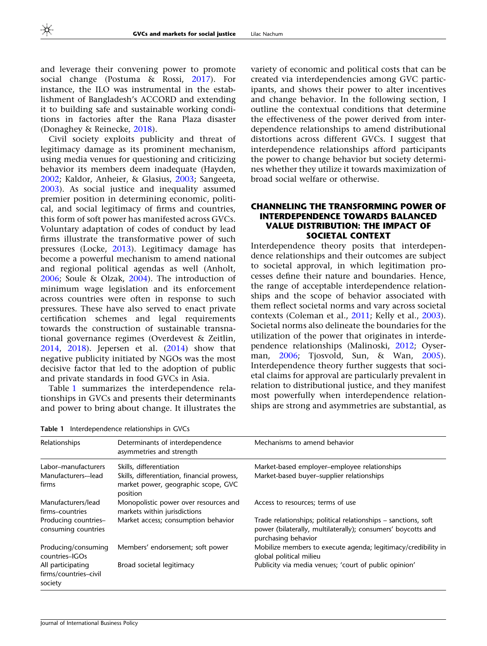and leverage their convening power to promote social change (Postuma & Rossi, [2017\)](#page-22-0). For instance, the ILO was instrumental in the establishment of Bangladesh's ACCORD and extending it to building safe and sustainable working conditions in factories after the Rana Plaza disaster (Donaghey & Reinecke, [2018](#page-21-0)).

Civil society exploits publicity and threat of legitimacy damage as its prominent mechanism, using media venues for questioning and criticizing behavior its members deem inadequate (Hayden, [2002;](#page-21-0) Kaldor, Anheier, & Glasius, [2003](#page-21-0); Sangeeta, [2003\)](#page-23-0). As social justice and inequality assumed premier position in determining economic, political, and social legitimacy of firms and countries, this form of soft power has manifested across GVCs. Voluntary adaptation of codes of conduct by lead firms illustrate the transformative power of such pressures (Locke, [2013](#page-22-0)). Legitimacy damage has become a powerful mechanism to amend national and regional political agendas as well (Anholt, [2006;](#page-20-0) Soule & Olzak, [2004\)](#page-23-0). The introduction of minimum wage legislation and its enforcement across countries were often in response to such pressures. These have also served to enact private certification schemes and legal requirements towards the construction of sustainable transnational governance regimes (Overdevest & Zeitlin, [2014,](#page-22-0) [2018\)](#page-22-0). Jepersen et al. ([2014\)](#page-21-0) show that negative publicity initiated by NGOs was the most decisive factor that led to the adoption of public and private standards in food GVCs in Asia.

Table 1 summarizes the interdependence relationships in GVCs and presents their determinants and power to bring about change. It illustrates the variety of economic and political costs that can be created via interdependencies among GVC participants, and shows their power to alter incentives and change behavior. In the following section, I outline the contextual conditions that determine the effectiveness of the power derived from interdependence relationships to amend distributional distortions across different GVCs. I suggest that interdependence relationships afford participants the power to change behavior but society determines whether they utilize it towards maximization of broad social welfare or otherwise.

# CHANNELING THE TRANSFORMING POWER OF INTERDEPENDENCE TOWARDS BALANCED VALUE DISTRIBUTION: THE IMPACT OF SOCIETAL CONTEXT

Interdependence theory posits that interdependence relationships and their outcomes are subject to societal approval, in which legitimation processes define their nature and boundaries. Hence, the range of acceptable interdependence relationships and the scope of behavior associated with them reflect societal norms and vary across societal contexts (Coleman et al., [2011;](#page-20-0) Kelly et al., [2003](#page-22-0)). Societal norms also delineate the boundaries for the utilization of the power that originates in interdependence relationships (Malinoski, [2012;](#page-22-0) Oyserman, [2006](#page-22-0); Tjosvold, Sun, & Wan, [2005](#page-23-0)). Interdependence theory further suggests that societal claims for approval are particularly prevalent in relation to distributional justice, and they manifest most powerfully when interdependence relationships are strong and asymmetries are substantial, as

| Relationships                                         | Determinants of interdependence<br>asymmetries and strength                                    | Mechanisms to amend behavior                                                                                                                          |
|-------------------------------------------------------|------------------------------------------------------------------------------------------------|-------------------------------------------------------------------------------------------------------------------------------------------------------|
| Labor-manufacturers                                   | Skills, differentiation                                                                        | Market-based employer-employee relationships                                                                                                          |
| Manufacturers--lead<br>firms                          | Skills, differentiation, financial prowess,<br>market power, geographic scope, GVC<br>position | Market-based buyer-supplier relationships                                                                                                             |
| Manufacturers/lead<br>firms-countries                 | Monopolistic power over resources and<br>markets within jurisdictions                          | Access to resources; terms of use                                                                                                                     |
| Producing countries-<br>consuming countries           | Market access; consumption behavior                                                            | Trade relationships; political relationships – sanctions, soft<br>power (bilaterally, multilaterally); consumers' boycotts and<br>purchasing behavior |
| Producing/consuming<br>countries-IGOs                 | Members' endorsement; soft power                                                               | Mobilize members to execute agenda; legitimacy/credibility in<br>global political milieu                                                              |
| All participating<br>firms/countries-civil<br>society | Broad societal legitimacy                                                                      | Publicity via media venues; 'court of public opinion'                                                                                                 |

Table 1 Interdependence relationships in GVCs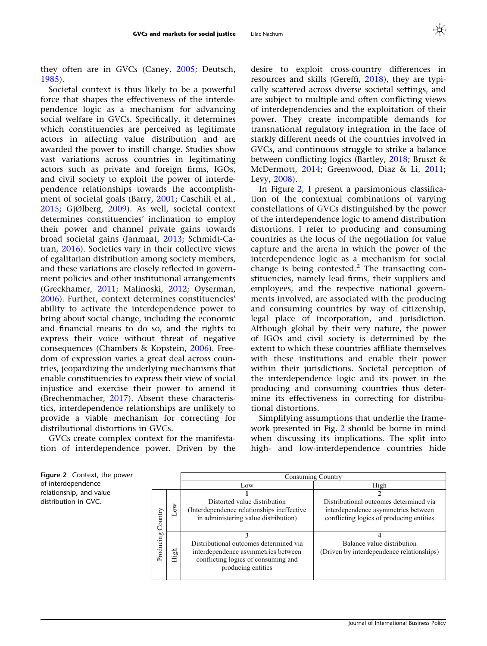<span id="page-9-0"></span>they often are in GVCs (Caney, [2005;](#page-20-0) Deutsch, [1985\)](#page-21-0).

Societal context is thus likely to be a powerful force that shapes the effectiveness of the interdependence logic as a mechanism for advancing social welfare in GVCs. Specifically, it determines which constituencies are perceived as legitimate actors in affecting value distribution and are awarded the power to instill change. Studies show vast variations across countries in legitimating actors such as private and foreign firms, IGOs, and civil society to exploit the power of interdependence relationships towards the accomplishment of societal goals (Barry, [2001](#page-20-0); Caschili et al., [2015;](#page-20-0) GjØlberg, [2009](#page-21-0)). As well, societal context determines constituencies' inclination to employ their power and channel private gains towards broad societal gains (Janmaat, [2013;](#page-21-0) Schmidt-Catran, [2016](#page-23-0)). Societies vary in their collective views of egalitarian distribution among society members, and these variations are closely reflected in government policies and other institutional arrangements (Greckhamer, [2011](#page-21-0); Malinoski, [2012;](#page-22-0) Oyserman, [2006\)](#page-22-0). Further, context determines constituencies' ability to activate the interdependence power to bring about social change, including the economic and financial means to do so, and the rights to express their voice without threat of negative consequences (Chambers & Kopstein, [2006\)](#page-20-0). Freedom of expression varies a great deal across countries, jeopardizing the underlying mechanisms that enable constituencies to express their view of social injustice and exercise their power to amend it (Brechenmacher, [2017\)](#page-20-0). Absent these characteristics, interdependence relationships are unlikely to provide a viable mechanism for correcting for distributional distortions in GVCs.

GVCs create complex context for the manifestation of interdependence power. Driven by the desire to exploit cross-country differences in resources and skills (Gereffi, [2018](#page-21-0)), they are typically scattered across diverse societal settings, and are subject to multiple and often conflicting views of interdependencies and the exploitation of their power. They create incompatible demands for transnational regulatory integration in the face of starkly different needs of the countries involved in GVCs, and continuous struggle to strike a balance between conflicting logics (Bartley, [2018;](#page-20-0) Bruszt & McDermott, [2014](#page-20-0); Greenwood, Diaz & Li, [2011;](#page-21-0) Levy, [2008\)](#page-22-0).

In Figure 2, I present a parsimonious classification of the contextual combinations of varying constellations of GVCs distinguished by the power of the interdependence logic to amend distribution distortions. I refer to producing and consuming countries as the locus of the negotiation for value capture and the arena in which the power of the interdependence logic as a mechanism for social change is being contested.<sup>2</sup> The transacting constituencies, namely lead firms, their suppliers and employees, and the respective national governments involved, are associated with the producing and consuming countries by way of citizenship, legal place of incorporation, and jurisdiction. Although global by their very nature, the power of IGOs and civil society is determined by the extent to which these countries affiliate themselves with these institutions and enable their power within their jurisdictions. Societal perception of the interdependence logic and its power in the producing and consuming countries thus determine its effectiveness in correcting for distributional distortions.

Simplifying assumptions that underlie the framework presented in Fig. 2 should be borne in mind when discussing its implications. The split into high- and low-interdependence countries hide

Figure 2 Context, the power of interdependence relationship, and value distribution in GVC.

|                      |         | Consuming Country                                                                                                                          |                                                                                                                           |  |  |
|----------------------|---------|--------------------------------------------------------------------------------------------------------------------------------------------|---------------------------------------------------------------------------------------------------------------------------|--|--|
|                      |         | Low                                                                                                                                        | High                                                                                                                      |  |  |
| Country<br>Producing | ŏ       | Distorted value distribution<br>(Interdependence relationships ineffective)<br>in administering value distribution)                        | Distributional outcomes determined via<br>interdependence asymmetries between<br>conflicting logics of producing entities |  |  |
|                      | ЪЪ<br>Ξ | Distributional outcomes determined via<br>interdependence asymmetries between<br>conflicting logics of consuming and<br>producing entities | Balance value distribution<br>(Driven by interdependence relationships)                                                   |  |  |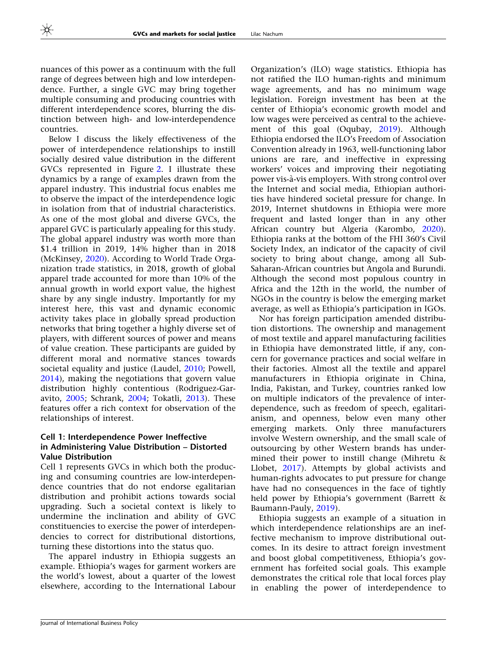nuances of this power as a continuum with the full range of degrees between high and low interdependence. Further, a single GVC may bring together multiple consuming and producing countries with different interdependence scores, blurring the distinction between high- and low-interdependence countries.

Below I discuss the likely effectiveness of the power of interdependence relationships to instill socially desired value distribution in the different GVCs represented in Figure [2](#page-9-0). I illustrate these dynamics by a range of examples drawn from the apparel industry. This industrial focus enables me to observe the impact of the interdependence logic in isolation from that of industrial characteristics. As one of the most global and diverse GVCs, the apparel GVC is particularly appealing for this study. The global apparel industry was worth more than \$1.4 trillion in 2019, 14% higher than in 2018 (McKinsey, [2020](#page-22-0)). According to World Trade Organization trade statistics, in 2018, growth of global apparel trade accounted for more than 10% of the annual growth in world export value, the highest share by any single industry. Importantly for my interest here, this vast and dynamic economic activity takes place in globally spread production networks that bring together a highly diverse set of players, with different sources of power and means of value creation. These participants are guided by different moral and normative stances towards societal equality and justice (Laudel, [2010](#page-22-0); Powell, [2014\)](#page-22-0), making the negotiations that govern value distribution highly contentious (Rodriguez-Garavito, [2005;](#page-22-0) Schrank, [2004](#page-23-0); Tokatli, [2013](#page-23-0)). These features offer a rich context for observation of the relationships of interest.

## Cell 1: Interdependence Power Ineffective in Administering Value Distribution – Distorted Value Distribution

Cell 1 represents GVCs in which both the producing and consuming countries are low-interdependence countries that do not endorse egalitarian distribution and prohibit actions towards social upgrading. Such a societal context is likely to undermine the inclination and ability of GVC constituencies to exercise the power of interdependencies to correct for distributional distortions, turning these distortions into the status quo.

The apparel industry in Ethiopia suggests an example. Ethiopia's wages for garment workers are the world's lowest, about a quarter of the lowest elsewhere, according to the International Labour

Organization's (ILO) wage statistics. Ethiopia has not ratified the ILO human-rights and minimum wage agreements, and has no minimum wage legislation. Foreign investment has been at the center of Ethiopia's economic growth model and low wages were perceived as central to the achievement of this goal (Oqubay, [2019](#page-22-0)). Although Ethiopia endorsed the ILO's Freedom of Association Convention already in 1963, well-functioning labor unions are rare, and ineffective in expressing workers' voices and improving their negotiating power vis-à-vis employers. With strong control over the Internet and social media, Ethiopian authorities have hindered societal pressure for change. In 2019, Internet shutdowns in Ethiopia were more frequent and lasted longer than in any other African country but Algeria (Karombo, [2020](#page-22-0)). Ethiopia ranks at the bottom of the FHI 360's Civil Society Index, an indicator of the capacity of civil society to bring about change, among all Sub-Saharan-African countries but Angola and Burundi. Although the second most populous country in Africa and the 12th in the world, the number of NGOs in the country is below the emerging market average, as well as Ethiopia's participation in IGOs.

Nor has foreign participation amended distribution distortions. The ownership and management of most textile and apparel manufacturing facilities in Ethiopia have demonstrated little, if any, concern for governance practices and social welfare in their factories. Almost all the textile and apparel manufacturers in Ethiopia originate in China, India, Pakistan, and Turkey, countries ranked low on multiple indicators of the prevalence of interdependence, such as freedom of speech, egalitarianism, and openness, below even many other emerging markets. Only three manufacturers involve Western ownership, and the small scale of outsourcing by other Western brands has undermined their power to instill change (Mihretu & Llobet, [2017\)](#page-22-0). Attempts by global activists and human-rights advocates to put pressure for change have had no consequences in the face of tightly held power by Ethiopia's government (Barrett & Baumann-Pauly, [2019\)](#page-20-0).

Ethiopia suggests an example of a situation in which interdependence relationships are an ineffective mechanism to improve distributional outcomes. In its desire to attract foreign investment and boost global competitiveness, Ethiopia's government has forfeited social goals. This example demonstrates the critical role that local forces play in enabling the power of interdependence to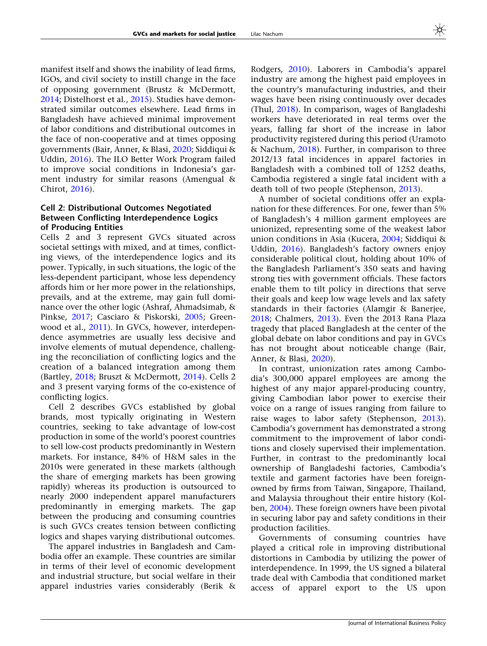manifest itself and shows the inability of lead firms, IGOs, and civil society to instill change in the face of opposing government (Brustz & McDermott, [2014;](#page-20-0) Distelhorst et al., [2015\)](#page-21-0). Studies have demonstrated similar outcomes elsewhere. Lead firms in Bangladesh have achieved minimal improvement

of labor conditions and distributional outcomes in the face of non-cooperative and at times opposing governments (Bair, Anner, & Blasi, [2020](#page-20-0); Siddiqui & Uddin, [2016](#page-23-0)). The ILO Better Work Program failed to improve social conditions in Indonesia's garment industry for similar reasons (Amengual & Chirot, [2016](#page-20-0)).

# Cell 2: Distributional Outcomes Negotiated Between Conflicting Interdependence Logics of Producing Entities

Cells 2 and 3 represent GVCs situated across societal settings with mixed, and at times, conflicting views, of the interdependence logics and its power. Typically, in such situations, the logic of the less-dependent participant, whose less dependency affords him or her more power in the relationships, prevails, and at the extreme, may gain full dominance over the other logic (Ashraf, Ahmadsimab, & Pinkse, [2017;](#page-20-0) Casciaro & Piskorski, [2005;](#page-20-0) Greenwood et al., [2011\)](#page-21-0). In GVCs, however, interdependence asymmetries are usually less decisive and involve elements of mutual dependence, challenging the reconciliation of conflicting logics and the creation of a balanced integration among them (Bartley, [2018;](#page-20-0) Bruszt & McDermott, [2014](#page-20-0)). Cells 2 and 3 present varying forms of the co-existence of conflicting logics.

Cell 2 describes GVCs established by global brands, most typically originating in Western countries, seeking to take advantage of low-cost production in some of the world's poorest countries to sell low-cost products predominantly in Western markets. For instance, 84% of H&M sales in the 2010s were generated in these markets (although the share of emerging markets has been growing rapidly) whereas its production is outsourced to nearly 2000 independent apparel manufacturers predominantly in emerging markets. The gap between the producing and consuming countries is such GVCs creates tension between conflicting logics and shapes varying distributional outcomes.

The apparel industries in Bangladesh and Cambodia offer an example. These countries are similar in terms of their level of economic development and industrial structure, but social welfare in their apparel industries varies considerably (Berik &

Rodgers, [2010\)](#page-20-0). Laborers in Cambodia's apparel industry are among the highest paid employees in the country's manufacturing industries, and their wages have been rising continuously over decades (Thul, [2018](#page-23-0)). In comparison, wages of Bangladeshi workers have deteriorated in real terms over the years, falling far short of the increase in labor productivity registered during this period (Uramoto & Nachum, [2018](#page-23-0)). Further, in comparison to three 2012/13 fatal incidences in apparel factories in Bangladesh with a combined toll of 1252 deaths, Cambodia registered a single fatal incident with a death toll of two people (Stephenson, [2013\)](#page-23-0).

A number of societal conditions offer an explanation for these differences. For one, fewer than 5% of Bangladesh's 4 million garment employees are unionized, representing some of the weakest labor union conditions in Asia (Kucera, [2004;](#page-22-0) Siddiqui & Uddin, [2016](#page-23-0)). Bangladesh's factory owners enjoy considerable political clout, holding about 10% of the Bangladesh Parliament's 350 seats and having strong ties with government officials. These factors enable them to tilt policy in directions that serve their goals and keep low wage levels and lax safety standards in their factories (Alamgir & Banerjee, [2018;](#page-19-0) Chalmers, [2013](#page-20-0)). Even the 2013 Rana Plaza tragedy that placed Bangladesh at the center of the global debate on labor conditions and pay in GVCs has not brought about noticeable change (Bair, Anner, & Blasi, [2020\)](#page-20-0).

In contrast, unionization rates among Cambodia's 300,000 apparel employees are among the highest of any major apparel-producing country, giving Cambodian labor power to exercise their voice on a range of issues ranging from failure to raise wages to labor safety (Stephenson, [2013](#page-23-0)). Cambodia's government has demonstrated a strong commitment to the improvement of labor conditions and closely supervised their implementation. Further, in contrast to the predominantly local ownership of Bangladeshi factories, Cambodia's textile and garment factories have been foreignowned by firms from Taiwan, Singapore, Thailand, and Malaysia throughout their entire history (Kolben, [2004\)](#page-22-0). These foreign owners have been pivotal in securing labor pay and safety conditions in their production facilities.

Governments of consuming countries have played a critical role in improving distributional distortions in Cambodia by utilizing the power of interdependence. In 1999, the US signed a bilateral trade deal with Cambodia that conditioned market access of apparel export to the US upon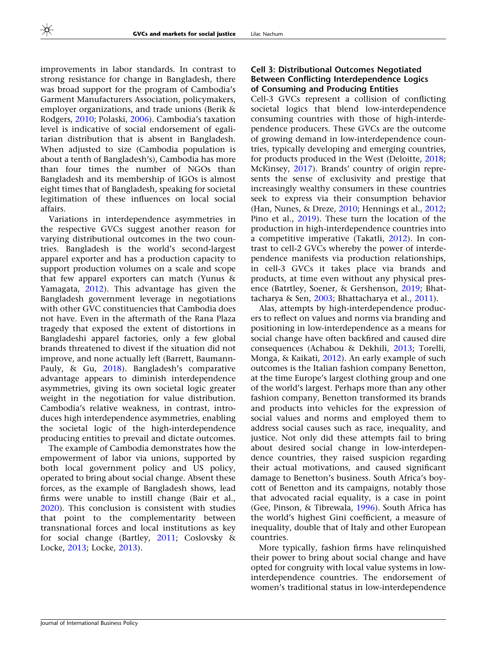improvements in labor standards. In contrast to strong resistance for change in Bangladesh, there was broad support for the program of Cambodia's Garment Manufacturers Association, policymakers, employer organizations, and trade unions (Berik & Rodgers, [2010;](#page-20-0) Polaski, [2006](#page-22-0)). Cambodia's taxation level is indicative of social endorsement of egalitarian distribution that is absent in Bangladesh. When adjusted to size (Cambodia population is about a tenth of Bangladesh's), Cambodia has more than four times the number of NGOs than Bangladesh and its membership of IGOs is almost eight times that of Bangladesh, speaking for societal legitimation of these influences on local social affairs.

Variations in interdependence asymmetries in the respective GVCs suggest another reason for varying distributional outcomes in the two countries. Bangladesh is the world's second-largest apparel exporter and has a production capacity to support production volumes on a scale and scope that few apparel exporters can match (Yunus & Yamagata, [2012](#page-23-0)). This advantage has given the Bangladesh government leverage in negotiations with other GVC constituencies that Cambodia does not have. Even in the aftermath of the Rana Plaza tragedy that exposed the extent of distortions in Bangladeshi apparel factories, only a few global brands threatened to divest if the situation did not improve, and none actually left (Barrett, Baumann-Pauly, & Gu, [2018](#page-20-0)). Bangladesh's comparative advantage appears to diminish interdependence asymmetries, giving its own societal logic greater weight in the negotiation for value distribution. Cambodia's relative weakness, in contrast, introduces high interdependence asymmetries, enabling the societal logic of the high-interdependence producing entities to prevail and dictate outcomes.

The example of Cambodia demonstrates how the empowerment of labor via unions, supported by both local government policy and US policy, operated to bring about social change. Absent these forces, as the example of Bangladesh shows, lead firms were unable to instill change (Bair et al., [2020\)](#page-20-0). This conclusion is consistent with studies that point to the complementarity between transnational forces and local institutions as key for social change (Bartley, [2011](#page-20-0); Coslovsky & Locke, [2013;](#page-20-0) Locke, [2013](#page-22-0)).

# Cell 3: Distributional Outcomes Negotiated Between Conflicting Interdependence Logics of Consuming and Producing Entities

Cell-3 GVCs represent a collision of conflicting societal logics that blend low-interdependence consuming countries with those of high-interdependence producers. These GVCs are the outcome of growing demand in low-interdependence countries, typically developing and emerging countries, for products produced in the West (Deloitte, [2018;](#page-21-0) McKinsey, [2017](#page-22-0)). Brands' country of origin represents the sense of exclusivity and prestige that increasingly wealthy consumers in these countries seek to express via their consumption behavior (Han, Nunes, & Dreze, [2010](#page-21-0); Hennings et al., [2012;](#page-21-0) Pino et al., [2019](#page-22-0)). These turn the location of the production in high-interdependence countries into a competitive imperative (Takatli, [2012](#page-23-0)). In contrast to cell-2 GVCs whereby the power of interdependence manifests via production relationships, in cell-3 GVCs it takes place via brands and products, at time even without any physical presence (Batrtley, Soener, & Gershenson, [2019;](#page-20-0) Bhattacharya & Sen, [2003](#page-20-0); Bhattacharya et al., [2011](#page-20-0)).

Alas, attempts by high-interdependence producers to reflect on values and norms via branding and positioning in low-interdependence as a means for social change have often backfired and caused dire consequences (Achabou & Dekhili, [2013](#page-19-0); Torelli, Monga, & Kaikati, [2012\)](#page-23-0). An early example of such outcomes is the Italian fashion company Benetton, at the time Europe's largest clothing group and one of the world's largest. Perhaps more than any other fashion company, Benetton transformed its brands and products into vehicles for the expression of social values and norms and employed them to address social causes such as race, inequality, and justice. Not only did these attempts fail to bring about desired social change in low-interdependence countries, they raised suspicion regarding their actual motivations, and caused significant damage to Benetton's business. South Africa's boycott of Benetton and its campaigns, notably those that advocated racial equality, is a case in point (Gee, Pinson, & Tibrewala, [1996\)](#page-21-0). South Africa has the world's highest Gini coefficient, a measure of inequality, double that of Italy and other European countries.

More typically, fashion firms have relinquished their power to bring about social change and have opted for congruity with local value systems in lowinterdependence countries. The endorsement of women's traditional status in low-interdependence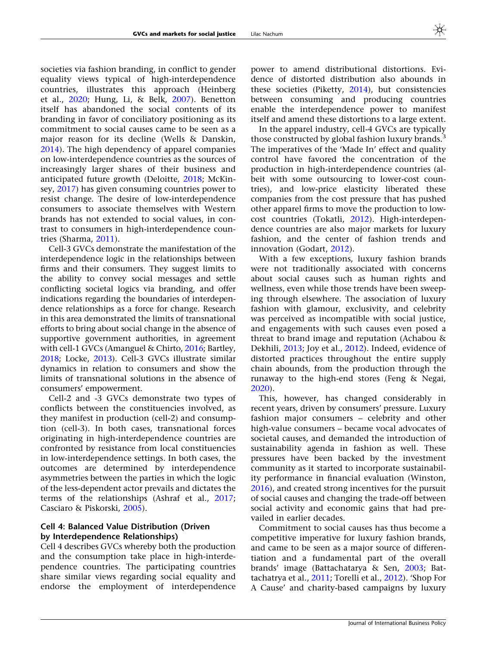societies via fashion branding, in conflict to gender equality views typical of high-interdependence countries, illustrates this approach (Heinberg et al., [2020;](#page-21-0) Hung, Li, & Belk, [2007\)](#page-21-0). Benetton itself has abandoned the social contents of its branding in favor of conciliatory positioning as its commitment to social causes came to be seen as a major reason for its decline (Wells & Danskin, [2014\)](#page-23-0). The high dependency of apparel companies on low-interdependence countries as the sources of increasingly larger shares of their business and anticipated future growth (Deloitte, [2018](#page-21-0); McKinsey, [2017\)](#page-22-0) has given consuming countries power to resist change. The desire of low-interdependence consumers to associate themselves with Western brands has not extended to social values, in contrast to consumers in high-interdependence countries (Sharma, [2011](#page-23-0)).

Cell-3 GVCs demonstrate the manifestation of the interdependence logic in the relationships between firms and their consumers. They suggest limits to the ability to convey social messages and settle conflicting societal logics via branding, and offer indications regarding the boundaries of interdependence relationships as a force for change. Research in this area demonstrated the limits of transnational efforts to bring about social change in the absence of supportive government authorities, in agreement with cell-1 GVCs (Amanguel & Chirto, [2016;](#page-20-0) Bartley, [2018](#page-20-0); Locke, [2013](#page-22-0)). Cell-3 GVCs illustrate similar dynamics in relation to consumers and show the limits of transnational solutions in the absence of consumers' empowerment.

Cell-2 and -3 GVCs demonstrate two types of conflicts between the constituencies involved, as they manifest in production (cell-2) and consumption (cell-3). In both cases, transnational forces originating in high-interdependence countries are confronted by resistance from local constituencies in low-interdependence settings. In both cases, the outcomes are determined by interdependence asymmetries between the parties in which the logic of the less-dependent actor prevails and dictates the terms of the relationships (Ashraf et al., [2017;](#page-20-0) Casciaro & Piskorski, [2005\)](#page-20-0).

# Cell 4: Balanced Value Distribution (Driven by Interdependence Relationships)

Cell 4 describes GVCs whereby both the production and the consumption take place in high-interdependence countries. The participating countries share similar views regarding social equality and endorse the employment of interdependence

power to amend distributional distortions. Evidence of distorted distribution also abounds in these societies (Piketty, [2014](#page-22-0)), but consistencies between consuming and producing countries enable the interdependence power to manifest itself and amend these distortions to a large extent.

In the apparel industry, cell-4 GVCs are typically those constructed by global fashion luxury brands.<sup>3</sup> The imperatives of the 'Made In' effect and quality control have favored the concentration of the production in high-interdependence countries (albeit with some outsourcing to lower-cost countries), and low-price elasticity liberated these companies from the cost pressure that has pushed other apparel firms to move the production to lowcost countries (Tokatli, [2012\)](#page-23-0). High-interdependence countries are also major markets for luxury fashion, and the center of fashion trends and innovation (Godart, [2012](#page-21-0)).

With a few exceptions, luxury fashion brands were not traditionally associated with concerns about social causes such as human rights and wellness, even while those trends have been sweeping through elsewhere. The association of luxury fashion with glamour, exclusivity, and celebrity was perceived as incompatible with social justice, and engagements with such causes even posed a threat to brand image and reputation (Achabou & Dekhili, [2013;](#page-19-0) Joy et al., [2012\)](#page-21-0). Indeed, evidence of distorted practices throughout the entire supply chain abounds, from the production through the runaway to the high-end stores (Feng & Negai, [2020\)](#page-21-0).

This, however, has changed considerably in recent years, driven by consumers' pressure. Luxury fashion major consumers – celebrity and other high-value consumers – became vocal advocates of societal causes, and demanded the introduction of sustainability agenda in fashion as well. These pressures have been backed by the investment community as it started to incorporate sustainability performance in financial evaluation (Winston, [2016\)](#page-23-0), and created strong incentives for the pursuit of social causes and changing the trade-off between social activity and economic gains that had prevailed in earlier decades.

Commitment to social causes has thus become a competitive imperative for luxury fashion brands, and came to be seen as a major source of differentiation and a fundamental part of the overall brands' image (Battachatarya & Sen, [2003](#page-20-0); Battachatrya et al., [2011;](#page-20-0) Torelli et al., [2012\)](#page-23-0). 'Shop For A Cause' and charity-based campaigns by luxury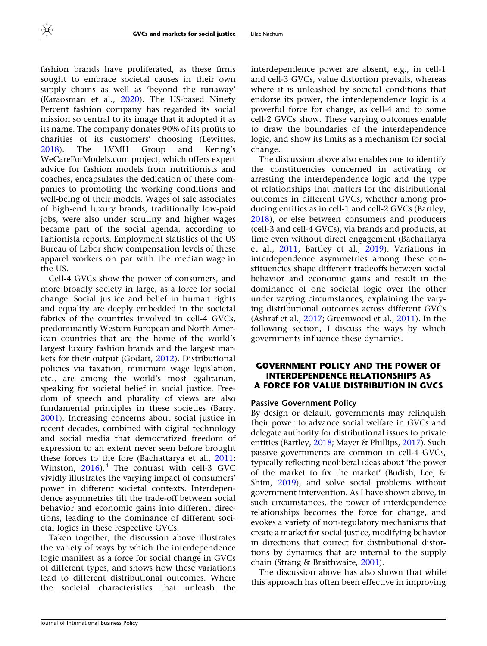fashion brands have proliferated, as these firms sought to embrace societal causes in their own supply chains as well as 'beyond the runaway' (Karaosman et al., [2020](#page-21-0)). The US-based Ninety Percent fashion company has regarded its social mission so central to its image that it adopted it as its name. The company donates 90% of its profits to charities of its customers' choosing (Lewittes, [2018\)](#page-22-0). The LVMH Group and Kering's WeCareForModels.com project, which offers expert advice for fashion models from nutritionists and coaches, encapsulates the dedication of these companies to promoting the working conditions and well-being of their models. Wages of sale associates of high-end luxury brands, traditionally low-paid jobs, were also under scrutiny and higher wages became part of the social agenda, according to Fahionista reports. Employment statistics of the US Bureau of Labor show compensation levels of these apparel workers on par with the median wage in the US.

Cell-4 GVCs show the power of consumers, and more broadly society in large, as a force for social change. Social justice and belief in human rights and equality are deeply embedded in the societal fabrics of the countries involved in cell-4 GVCs, predominantly Western European and North American countries that are the home of the world's largest luxury fashion brands and the largest markets for their output (Godart, [2012\)](#page-21-0). Distributional policies via taxation, minimum wage legislation, etc., are among the world's most egalitarian, speaking for societal belief in social justice. Freedom of speech and plurality of views are also fundamental principles in these societies (Barry, [2001\)](#page-20-0). Increasing concerns about social justice in recent decades, combined with digital technology and social media that democratized freedom of expression to an extent never seen before brought these forces to the fore (Bachattarya et al., [2011;](#page-20-0) Winston,  $2016$ .<sup>4</sup> The contrast with cell-3 GVC vividly illustrates the varying impact of consumers' power in different societal contexts. Interdependence asymmetries tilt the trade-off between social behavior and economic gains into different directions, leading to the dominance of different societal logics in these respective GVCs.

Taken together, the discussion above illustrates the variety of ways by which the interdependence logic manifest as a force for social change in GVCs of different types, and shows how these variations lead to different distributional outcomes. Where the societal characteristics that unleash the

interdependence power are absent, e.g., in cell-1 and cell-3 GVCs, value distortion prevails, whereas where it is unleashed by societal conditions that endorse its power, the interdependence logic is a powerful force for change, as cell-4 and to some cell-2 GVCs show. These varying outcomes enable to draw the boundaries of the interdependence logic, and show its limits as a mechanism for social change.

The discussion above also enables one to identify the constituencies concerned in activating or arresting the interdependence logic and the type of relationships that matters for the distributional outcomes in different GVCs, whether among producing entities as in cell-1 and cell-2 GVCs (Bartley, [2018\)](#page-20-0), or else between consumers and producers (cell-3 and cell-4 GVCs), via brands and products, at time even without direct engagement (Bachattarya et al., [2011,](#page-20-0) Bartley et al., [2019\)](#page-20-0). Variations in interdependence asymmetries among these constituencies shape different tradeoffs between social behavior and economic gains and result in the dominance of one societal logic over the other under varying circumstances, explaining the varying distributional outcomes across different GVCs (Ashraf et al., [2017](#page-20-0); Greenwood et al., [2011](#page-21-0)). In the following section, I discuss the ways by which governments influence these dynamics.

# GOVERNMENT POLICY AND THE POWER OF INTERDEPENDENCE RELATIONSHIPS AS A FORCE FOR VALUE DISTRIBUTION IN GVCS

#### Passive Government Policy

By design or default, governments may relinquish their power to advance social welfare in GVCs and delegate authority for distributional issues to private entities (Bartley, [2018;](#page-20-0) Mayer & Phillips, [2017\)](#page-22-0). Such passive governments are common in cell-4 GVCs, typically reflecting neoliberal ideas about 'the power of the market to fix the market' (Budish, Lee, & Shim, [2019](#page-20-0)), and solve social problems without government intervention. As I have shown above, in such circumstances, the power of interdependence relationships becomes the force for change, and evokes a variety of non-regulatory mechanisms that create a market for social justice, modifying behavior in directions that correct for distributional distortions by dynamics that are internal to the supply chain (Strang & Braithwaite, [2001\)](#page-23-0).

The discussion above has also shown that while this approach has often been effective in improving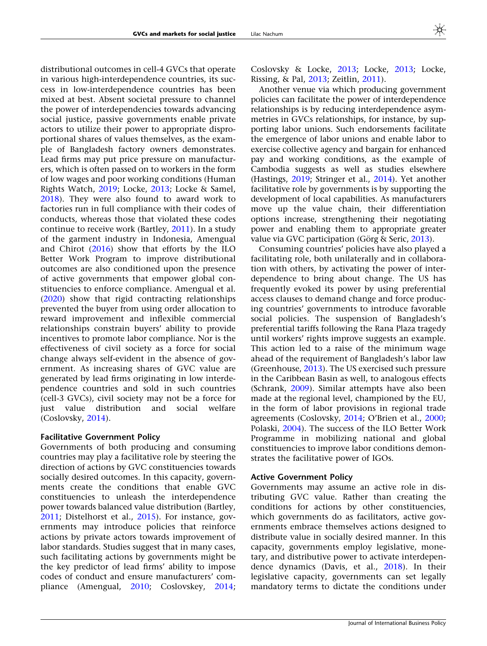distributional outcomes in cell-4 GVCs that operate in various high-interdependence countries, its success in low-interdependence countries has been mixed at best. Absent societal pressure to channel the power of interdependencies towards advancing social justice, passive governments enable private actors to utilize their power to appropriate disproportional shares of values themselves, as the example of Bangladesh factory owners demonstrates. Lead firms may put price pressure on manufacturers, which is often passed on to workers in the form of low wages and poor working conditions (Human Rights Watch, [2019;](#page-21-0) Locke, [2013](#page-22-0); Locke & Samel, [2018\)](#page-22-0). They were also found to award work to factories run in full compliance with their codes of conducts, whereas those that violated these codes continue to receive work (Bartley, [2011\)](#page-20-0). In a study of the garment industry in Indonesia, Amengual and Chirot [\(2016](#page-20-0)) show that efforts by the ILO Better Work Program to improve distributional outcomes are also conditioned upon the presence of active governments that empower global constituencies to enforce compliance. Amengual et al. [\(2020](#page-20-0)) show that rigid contracting relationships prevented the buyer from using order allocation to reward improvement and inflexible commercial relationships constrain buyers' ability to provide incentives to promote labor compliance. Nor is the effectiveness of civil society as a force for social change always self-evident in the absence of government. As increasing shares of GVC value are generated by lead firms originating in low interdependence countries and sold in such countries (cell-3 GVCs), civil society may not be a force for just value distribution and social welfare (Coslovsky, [2014](#page-20-0)).

# Facilitative Government Policy

Governments of both producing and consuming countries may play a facilitative role by steering the direction of actions by GVC constituencies towards socially desired outcomes. In this capacity, governments create the conditions that enable GVC constituencies to unleash the interdependence power towards balanced value distribution (Bartley, [2011;](#page-20-0) Distelhorst et al., [2015\)](#page-21-0). For instance, governments may introduce policies that reinforce actions by private actors towards improvement of labor standards. Studies suggest that in many cases, such facilitating actions by governments might be the key predictor of lead firms' ability to impose codes of conduct and ensure manufacturers' compliance (Amengual, [2010;](#page-20-0) Coslovskey, [2014;](#page-20-0)

Coslovsky & Locke, [2013;](#page-20-0) Locke, [2013;](#page-22-0) Locke, Rissing, & Pal, [2013](#page-22-0); Zeitlin, [2011](#page-23-0)).

Another venue via which producing government policies can facilitate the power of interdependence relationships is by reducing interdependence asymmetries in GVCs relationships, for instance, by supporting labor unions. Such endorsements facilitate the emergence of labor unions and enable labor to exercise collective agency and bargain for enhanced pay and working conditions, as the example of Cambodia suggests as well as studies elsewhere (Hastings, [2019](#page-21-0); Stringer et al., [2014\)](#page-23-0). Yet another facilitative role by governments is by supporting the development of local capabilities. As manufacturers move up the value chain, their differentiation options increase, strengthening their negotiating power and enabling them to appropriate greater value via GVC participation (Görg & Seric, [2013](#page-21-0)).

Consuming countries' policies have also played a facilitating role, both unilaterally and in collaboration with others, by activating the power of interdependence to bring about change. The US has frequently evoked its power by using preferential access clauses to demand change and force producing countries' governments to introduce favorable social policies. The suspension of Bangladesh's preferential tariffs following the Rana Plaza tragedy until workers' rights improve suggests an example. This action led to a raise of the minimum wage ahead of the requirement of Bangladesh's labor law (Greenhouse, [2013\)](#page-21-0). The US exercised such pressure in the Caribbean Basin as well, to analogous effects (Schrank, [2009](#page-23-0)). Similar attempts have also been made at the regional level, championed by the EU, in the form of labor provisions in regional trade agreements (Coslovsky, [2014;](#page-20-0) O'Brien et al., [2000;](#page-22-0) Polaski, [2004\)](#page-22-0). The success of the ILO Better Work Programme in mobilizing national and global constituencies to improve labor conditions demonstrates the facilitative power of IGOs.

#### Active Government Policy

Governments may assume an active role in distributing GVC value. Rather than creating the conditions for actions by other constituencies, which governments do as facilitators, active governments embrace themselves actions designed to distribute value in socially desired manner. In this capacity, governments employ legislative, monetary, and distributive power to activate interdependence dynamics (Davis, et al., [2018\)](#page-21-0). In their legislative capacity, governments can set legally mandatory terms to dictate the conditions under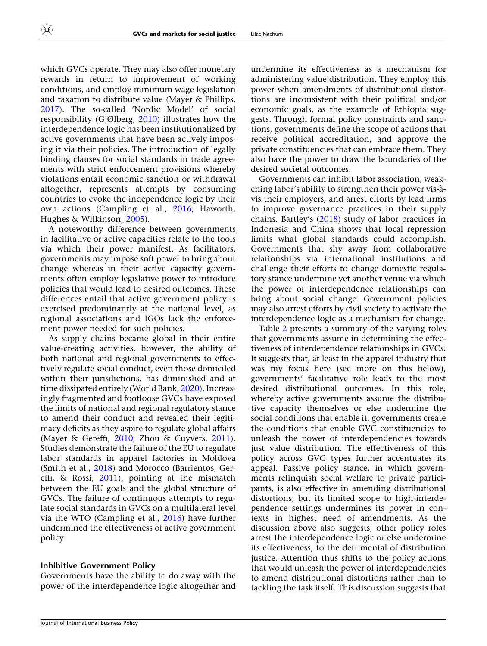which GVCs operate. They may also offer monetary rewards in return to improvement of working conditions, and employ minimum wage legislation and taxation to distribute value (Mayer & Phillips, [2017\)](#page-22-0). The so-called 'Nordic Model' of social responsibility (GjØlberg, [2010](#page-21-0)) illustrates how the interdependence logic has been institutionalized by active governments that have been actively imposing it via their policies. The introduction of legally binding clauses for social standards in trade agreements with strict enforcement provisions whereby violations entail economic sanction or withdrawal altogether, represents attempts by consuming countries to evoke the independence logic by their own actions (Campling et al., [2016](#page-20-0); Haworth, Hughes & Wilkinson, [2005](#page-21-0)).

A noteworthy difference between governments in facilitative or active capacities relate to the tools via which their power manifest. As facilitators, governments may impose soft power to bring about change whereas in their active capacity governments often employ legislative power to introduce policies that would lead to desired outcomes. These differences entail that active government policy is exercised predominantly at the national level, as regional associations and IGOs lack the enforcement power needed for such policies.

As supply chains became global in their entire value-creating activities, however, the ability of both national and regional governments to effectively regulate social conduct, even those domiciled within their jurisdictions, has diminished and at time dissipated entirely (World Bank, [2020\)](#page-23-0). Increasingly fragmented and footloose GVCs have exposed the limits of national and regional regulatory stance to amend their conduct and revealed their legitimacy deficits as they aspire to regulate global affairs (Mayer & Gereffi, [2010;](#page-22-0) Zhou & Cuyvers, [2011\)](#page-23-0). Studies demonstrate the failure of the EU to regulate labor standards in apparel factories in Moldova (Smith et al., [2018\)](#page-23-0) and Morocco (Barrientos, Gereffi, & Rossi, [2011\)](#page-20-0), pointing at the mismatch between the EU goals and the global structure of GVCs. The failure of continuous attempts to regulate social standards in GVCs on a multilateral level via the WTO (Campling et al., [2016](#page-20-0)) have further undermined the effectiveness of active government policy.

#### Inhibitive Government Policy

Governments have the ability to do away with the power of the interdependence logic altogether and undermine its effectiveness as a mechanism for administering value distribution. They employ this power when amendments of distributional distortions are inconsistent with their political and/or economic goals, as the example of Ethiopia suggests. Through formal policy constraints and sanctions, governments define the scope of actions that receive political accreditation, and approve the private constituencies that can embrace them. They also have the power to draw the boundaries of the desired societal outcomes.

Governments can inhibit labor association, weakening labor's ability to strengthen their power vis-a` vis their employers, and arrest efforts by lead firms to improve governance practices in their supply chains. Bartley's ([2018\)](#page-20-0) study of labor practices in Indonesia and China shows that local repression limits what global standards could accomplish. Governments that shy away from collaborative relationships via international institutions and challenge their efforts to change domestic regulatory stance undermine yet another venue via which the power of interdependence relationships can bring about social change. Government policies may also arrest efforts by civil society to activate the interdependence logic as a mechanism for change.

Table [2](#page-17-0) presents a summary of the varying roles that governments assume in determining the effectiveness of interdependence relationships in GVCs. It suggests that, at least in the apparel industry that was my focus here (see more on this below), governments' facilitative role leads to the most desired distributional outcomes. In this role, whereby active governments assume the distributive capacity themselves or else undermine the social conditions that enable it, governments create the conditions that enable GVC constituencies to unleash the power of interdependencies towards just value distribution. The effectiveness of this policy across GVC types further accentuates its appeal. Passive policy stance, in which governments relinquish social welfare to private participants, is also effective in amending distributional distortions, but its limited scope to high-interdependence settings undermines its power in contexts in highest need of amendments. As the discussion above also suggests, other policy roles arrest the interdependence logic or else undermine its effectiveness, to the detrimental of distribution justice. Attention thus shifts to the policy actions that would unleash the power of interdependencies to amend distributional distortions rather than to tackling the task itself. This discussion suggests that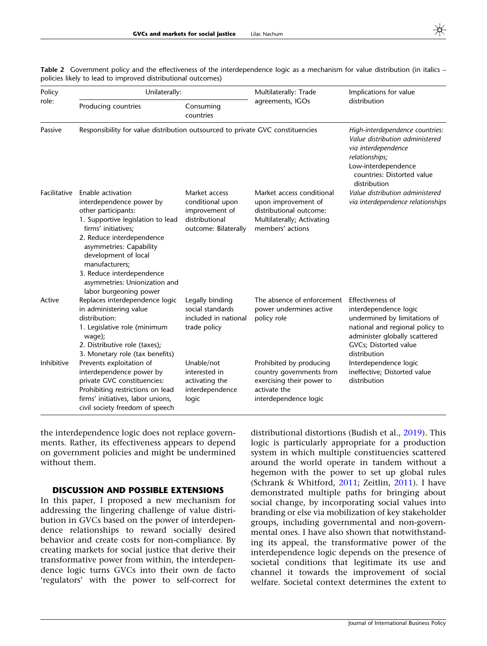| Policy<br>role: | Unilaterally:                                                                                                                                                                                                                                                                                                              |                                                                                               | Multilaterally: Trade                                                                                                         | Implications for value                                                                                                                                                                 |
|-----------------|----------------------------------------------------------------------------------------------------------------------------------------------------------------------------------------------------------------------------------------------------------------------------------------------------------------------------|-----------------------------------------------------------------------------------------------|-------------------------------------------------------------------------------------------------------------------------------|----------------------------------------------------------------------------------------------------------------------------------------------------------------------------------------|
|                 | Producing countries                                                                                                                                                                                                                                                                                                        | Consuming<br>countries                                                                        | agreements, IGOs                                                                                                              | distribution                                                                                                                                                                           |
| Passive         | Responsibility for value distribution outsourced to private GVC constituencies                                                                                                                                                                                                                                             |                                                                                               |                                                                                                                               | High-interdependence countries:<br>Value distribution administered<br>via interdependence<br>relationships;<br>Low-interdependence<br>countries: Distorted value<br>distribution       |
| Facilitative    | Enable activation<br>interdependence power by<br>other participants:<br>1. Supportive legislation to lead<br>firms' initiatives;<br>2. Reduce interdependence<br>asymmetries: Capability<br>development of local<br>manufacturers;<br>3. Reduce interdependence<br>asymmetries: Unionization and<br>labor burgeoning power | Market access<br>conditional upon<br>improvement of<br>distributional<br>outcome: Bilaterally | Market access conditional<br>upon improvement of<br>distributional outcome:<br>Multilaterally; Activating<br>members' actions | Value distribution administered<br>via interdependence relationships                                                                                                                   |
| Active          | Replaces interdependence logic<br>in administering value<br>distribution:<br>1. Legislative role (minimum<br>wage);<br>2. Distributive role (taxes);<br>3. Monetary role (tax benefits)                                                                                                                                    | Legally binding<br>social standards<br>included in national<br>trade policy                   | The absence of enforcement<br>power undermines active<br>policy role                                                          | Effectiveness of<br>interdependence logic<br>undermined by limitations of<br>national and regional policy to<br>administer globally scattered<br>GVCs; Distorted value<br>distribution |
| Inhibitive      | Prevents exploitation of<br>interdependence power by<br>private GVC constituencies:<br>Prohibiting restrictions on lead<br>firms' initiatives, labor unions,<br>civil society freedom of speech                                                                                                                            | Unable/not<br>interested in<br>activating the<br>interdependence<br>logic                     | Prohibited by producing<br>country governments from<br>exercising their power to<br>activate the<br>interdependence logic     | Interdependence logic<br>ineffective; Distorted value<br>distribution                                                                                                                  |

<span id="page-17-0"></span>Table 2 Government policy and the effectiveness of the interdependence logic as a mechanism for value distribution (in italics – policies likely to lead to improved distributional outcomes)

the interdependence logic does not replace governments. Rather, its effectiveness appears to depend on government policies and might be undermined without them.

# DISCUSSION AND POSSIBLE EXTENSIONS

In this paper, I proposed a new mechanism for addressing the lingering challenge of value distribution in GVCs based on the power of interdependence relationships to reward socially desired behavior and create costs for non-compliance. By creating markets for social justice that derive their transformative power from within, the interdependence logic turns GVCs into their own de facto 'regulators' with the power to self-correct for

distributional distortions (Budish et al., [2019](#page-20-0)). This logic is particularly appropriate for a production system in which multiple constituencies scattered around the world operate in tandem without a hegemon with the power to set up global rules (Schrank & Whitford, [2011](#page-23-0); Zeitlin, [2011](#page-23-0)). I have demonstrated multiple paths for bringing about social change, by incorporating social values into branding or else via mobilization of key stakeholder groups, including governmental and non-governmental ones. I have also shown that notwithstanding its appeal, the transformative power of the interdependence logic depends on the presence of societal conditions that legitimate its use and channel it towards the improvement of social welfare. Societal context determines the extent to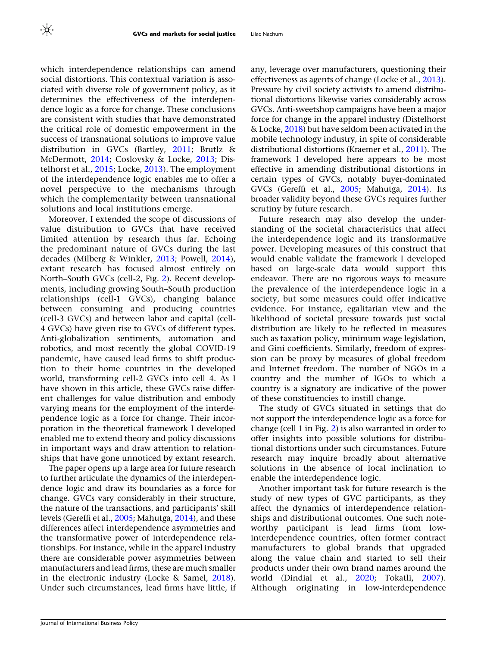which interdependence relationships can amend social distortions. This contextual variation is associated with diverse role of government policy, as it determines the effectiveness of the interdependence logic as a force for change. These conclusions are consistent with studies that have demonstrated the critical role of domestic empowerment in the success of transnational solutions to improve value distribution in GVCs (Bartley, [2011](#page-20-0); Brutlz & McDermott, [2014;](#page-20-0) Coslovsky & Locke, [2013;](#page-20-0) Distelhorst et al., [2015;](#page-21-0) Locke, [2013\)](#page-22-0). The employment of the interdependence logic enables me to offer a novel perspective to the mechanisms through which the complementarity between transnational solutions and local institutions emerge.

Moreover, I extended the scope of discussions of value distribution to GVCs that have received limited attention by research thus far. Echoing the predominant nature of GVCs during the last decades (Milberg & Winkler, [2013;](#page-22-0) Powell, [2014\)](#page-22-0), extant research has focused almost entirely on North–South GVCs (cell-2, Fig. [2\)](#page-9-0). Recent developments, including growing South–South production relationships (cell-1 GVCs), changing balance between consuming and producing countries (cell-3 GVCs) and between labor and capital (cell-4 GVCs) have given rise to GVCs of different types. Anti-globalization sentiments, automation and robotics, and most recently the global COVID-19 pandemic, have caused lead firms to shift production to their home countries in the developed world, transforming cell-2 GVCs into cell 4. As I have shown in this article, these GVCs raise different challenges for value distribution and embody varying means for the employment of the interdependence logic as a force for change. Their incorporation in the theoretical framework I developed enabled me to extend theory and policy discussions in important ways and draw attention to relationships that have gone unnoticed by extant research.

The paper opens up a large area for future research to further articulate the dynamics of the interdependence logic and draw its boundaries as a force for change. GVCs vary considerably in their structure, the nature of the transactions, and participants' skill levels (Gereffi et al., [2005;](#page-21-0) Mahutga, [2014](#page-22-0)), and these differences affect interdependence asymmetries and the transformative power of interdependence relationships. For instance, while in the apparel industry there are considerable power asymmetries between manufacturers and lead firms, these are much smaller in the electronic industry (Locke & Samel, [2018](#page-22-0)). Under such circumstances, lead firms have little, if any, leverage over manufacturers, questioning their effectiveness as agents of change (Locke et al., [2013](#page-22-0)). Pressure by civil society activists to amend distributional distortions likewise varies considerably across GVCs. Anti-sweetshop campaigns have been a major force for change in the apparel industry (Distelhorst & Locke, [2018\)](#page-21-0) but have seldom been activated in the mobile technology industry, in spite of considerable distributional distortions (Kraemer et al., [2011\)](#page-22-0). The framework I developed here appears to be most effective in amending distributional distortions in certain types of GVCs, notably buyer-dominated GVCs (Gereffi et al., [2005;](#page-21-0) Mahutga, [2014\)](#page-22-0). Its broader validity beyond these GVCs requires further scrutiny by future research.

Future research may also develop the understanding of the societal characteristics that affect the interdependence logic and its transformative power. Developing measures of this construct that would enable validate the framework I developed based on large-scale data would support this endeavor. There are no rigorous ways to measure the prevalence of the interdependence logic in a society, but some measures could offer indicative evidence. For instance, egalitarian view and the likelihood of societal pressure towards just social distribution are likely to be reflected in measures such as taxation policy, minimum wage legislation, and Gini coefficients. Similarly, freedom of expression can be proxy by measures of global freedom and Internet freedom. The number of NGOs in a country and the number of IGOs to which a country is a signatory are indicative of the power of these constituencies to instill change.

The study of GVCs situated in settings that do not support the interdependence logic as a force for change (cell 1 in Fig. [2\)](#page-9-0) is also warranted in order to offer insights into possible solutions for distributional distortions under such circumstances. Future research may inquire broadly about alternative solutions in the absence of local inclination to enable the interdependence logic.

Another important task for future research is the study of new types of GVC participants, as they affect the dynamics of interdependence relationships and distributional outcomes. One such noteworthy participant is lead firms from lowinterdependence countries, often former contract manufacturers to global brands that upgraded along the value chain and started to sell their products under their own brand names around the world (Dindial et al., [2020;](#page-21-0) Tokatli, [2007](#page-23-0)). Although originating in low-interdependence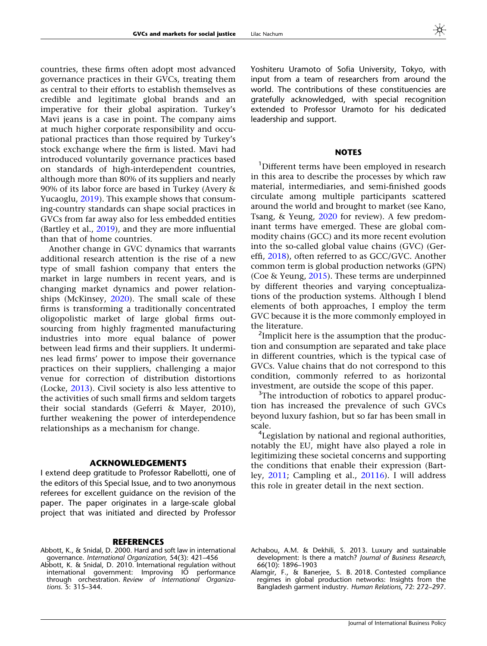<span id="page-19-0"></span>countries, these firms often adopt most advanced governance practices in their GVCs, treating them as central to their efforts to establish themselves as credible and legitimate global brands and an imperative for their global aspiration. Turkey's Mavi jeans is a case in point. The company aims at much higher corporate responsibility and occupational practices than those required by Turkey's stock exchange where the firm is listed. Mavi had introduced voluntarily governance practices based on standards of high-interdependent countries, although more than 80% of its suppliers and nearly 90% of its labor force are based in Turkey (Avery & Yucaoglu, [2019](#page-20-0)). This example shows that consuming-country standards can shape social practices in GVCs from far away also for less embedded entities (Bartley et al., [2019\)](#page-20-0), and they are more influential than that of home countries.

Another change in GVC dynamics that warrants additional research attention is the rise of a new type of small fashion company that enters the market in large numbers in recent years, and is changing market dynamics and power relationships (McKinsey, [2020](#page-22-0)). The small scale of these firms is transforming a traditionally concentrated oligopolistic market of large global firms outsourcing from highly fragmented manufacturing industries into more equal balance of power between lead firms and their suppliers. It undermines lead firms' power to impose their governance practices on their suppliers, challenging a major venue for correction of distribution distortions (Locke, [2013\)](#page-22-0). Civil society is also less attentive to the activities of such small firms and seldom targets their social standards (Geferri & Mayer, 2010), further weakening the power of interdependence relationships as a mechanism for change.

#### ACKNOWLEDGEMENTS

I extend deep gratitude to Professor Rabellotti, one of the editors of this Special Issue, and to two anonymous referees for excellent guidance on the revision of the paper. The paper originates in a large-scale global project that was initiated and directed by Professor

#### **REFERENCES**

- Abbott, K., & Snidal, D. 2000. Hard and soft law in international governance. International Organization, 54(3): 421–456
- Abbott, K. & Snidal, D. 2010. International regulation without international government: Improving IO performance through orchestration. Review of International Organizations. 5: 315–344.

Yoshiteru Uramoto of Sofia University, Tokyo, with input from a team of researchers from around the world. The contributions of these constituencies are gratefully acknowledged, with special recognition extended to Professor Uramoto for his dedicated leadership and support.

#### **NOTES**

<sup>1</sup>Different terms have been employed in research in this area to describe the processes by which raw material, intermediaries, and semi-finished goods circulate among multiple participants scattered around the world and brought to market (see Kano, Tsang, & Yeung, [2020](#page-21-0) for review). A few predominant terms have emerged. These are global commodity chains (GCC) and its more recent evolution into the so-called global value chains (GVC) (Gereffi, [2018](#page-21-0)), often referred to as GCC/GVC. Another common term is global production networks (GPN) (Coe & Yeung, [2015](#page-20-0)). These terms are underpinned by different theories and varying conceptualizations of the production systems. Although I blend elements of both approaches, I employ the term GVC because it is the more commonly employed in the literature.

<sup>2</sup>Implicit here is the assumption that the production and consumption are separated and take place in different countries, which is the typical case of GVCs. Value chains that do not correspond to this condition, commonly referred to as horizontal investment, are outside the scope of this paper.

<sup>3</sup>The introduction of robotics to apparel production has increased the prevalence of such GVCs beyond luxury fashion, but so far has been small in scale.

<sup>4</sup>Legislation by national and regional authorities, notably the EU, might have also played a role in legitimizing these societal concerns and supporting the conditions that enable their expression (Bartley, [2011;](#page-20-0) Campling et al., [20116](#page-20-0)). I will address this role in greater detail in the next section.

- Achabou, A.M. & Dekhili, S. 2013. Luxury and sustainable development: Is there a match? Journal of Business Research, 66(10): 1896–1903
- Alamgir, F., & Banerjee, S. B. 2018. Contested compliance regimes in global production networks: Insights from the Bangladesh garment industry. Human Relations, 72: 272–297.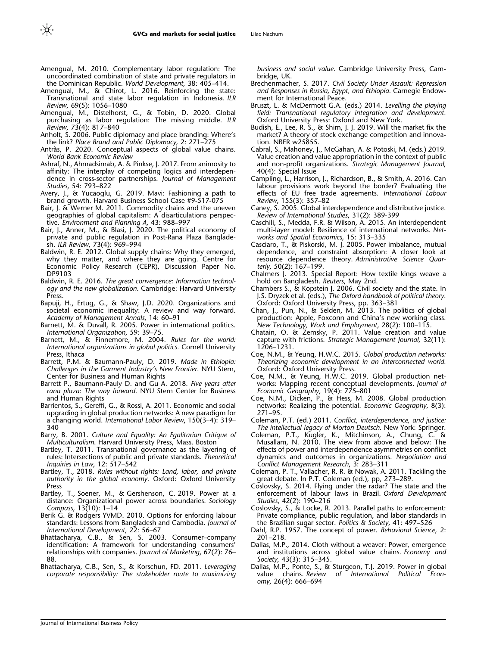- <span id="page-20-0"></span>Amengual, M. 2010. Complementary labor regulation: The uncoordinated combination of state and private regulators in the Dominican Republic. World Development, 38: 405-414.
- Amengual, M., & Chirot, L. 2016. Reinforcing the state: Transnational and state labor regulation in Indonesia. ILR Review, 69(5): 1056–1080
- Amengual, M., Distelhorst, G., & Tobin, D. 2020. Global purchasing as labor regulation: The missing middle. ILR Review, 73(4): 817–840
- Anholt, S. 2006. Public diplomacy and place branding: Where's the link? Place Brand and Public Diplomacy, 2: 271–275
- Antràs, P. 2020. Conceptual aspects of global value chains. World Bank Economic Review
- Ashraf, N., Ahmadsimab, A. & Pinkse, J. 2017. From animosity to affinity: The interplay of competing logics and interdependence in cross-sector partnerships. Journal of Management Studies, 54: 793–822
- Avery, J., & Yucaoglu, G. 2019. Mavi: Fashioning a path to brand growth. Harvard Business School Case #9-517-075
- Bair, J. & Werner M. 2011. Commodity chains and the uneven geographies of global capitalism: A disarticulations perspective. Environment and Planning A, 43: 988–997
- Bair, J., Anner, M., & Blasi, J. 2020. The political economy of private and public regulation in Post-Rana Plaza Bangladesh. ILR Review, 73(4): 969–994
- Baldwin, R. E. 2012. Global supply chains: Why they emerged, why they matter, and where they are going. Centre for Economic Policy Research (CEPR), Discussion Paper No. DP9103
- Baldwin, R. E. 2016. The great convergence: Information technology and the new globalization. Cambridge: Harvard University Press.
- Bapuji, H., Ertug, G., & Shaw, J.D. 2020. Organizations and societal economic inequality: A review and way forward. Academy of Management Annals, 14: 60–91
- Barnett, M. & Duvall, R. 2005. Power in international politics. International Organization, 59: 39–75.
- Barnett, M., & Finnemore, M. 2004. Rules for the world: International organizations in global politics. Cornell University Press, Ithaca
- Barrett, P.M. & Baumann-Pauly, D. 2019. Made in Ethiopia: Challenges in the Garment Industry's New Frontier. NYU Stern, Center for Business and Human Rights
- Barrett P., Baumann-Pauly D. and Gu A. 2018. Five years after rana plaza: The way forward. NYU Stern Center for Business and Human Rights
- Barrientos, S., Gereffi, G., & Rossi, A. 2011. Economic and social upgrading in global production networks: A new paradigm for a changing world. International Labor Review, 150(3–4): 319– 340
- Barry, B. 2001. Culture and Equality: An Egalitarian Critique of Multiculturalism. Harvard University Press, Mass. Boston
- Bartley, T. 2011. Transnational governance as the layering of rules: Intersections of public and private standards. Theoretical Inquiries in Law, 12: 517–542
- Bartley, T., 2018. Rules without rights: Land, labor, and private authority in the global economy. Oxford: Oxford University Press
- Bartley, T., Soener, M., & Gershenson, C. 2019. Power at a distance: Organizational power across boundaries. Sociology Compass, 13(10): 1–14
- Berik G. & Rodgers YVMD. 2010. Options for enforcing labour standards: Lessons from Bangladesh and Cambodia. Journal of International Development, 22: 56–67
- Bhattacharya, C.B., & Sen, S. 2003. Consumer–company identification: A framework for understanding consumers' relationships with companies. Journal of Marketing, 67(2): 76– 88.
- Bhattacharya, C.B., Sen, S., & Korschun, FD. 2011. Leveraging corporate responsibility: The stakeholder route to maximizing

business and social value. Cambridge University Press, Cambridge, UK.

- Brechenmacher, S. 2017. Civil Society Under Assault: Repression and Responses in Russia, Egypt, and Ethiopia. Carnegie Endowment for International Peace.
- Bruszt, L. & McDermott G.A. (eds.) 2014. Levelling the playing field: Transnational regulatory integration and development. Oxford University Press: Oxford and New York.
- Budish, E., Lee, R. S., & Shim, J. J. 2019. Will the market fix the market? A theory of stock exchange competition and innovation. NBER w25855.
- Cabral, S., Mahoney, J., McGahan, A. & Potoski, M. (eds.) 2019. Value creation and value appropriation in the context of public and non-profit organizations. Strategic Management Journal, 40(4): Special Issue
- Campling, L., Harrison, J., Richardson, B., & Smith, A. 2016. Can labour provisions work beyond the border? Evaluating the effects of EU free trade agreements. International Labour Review, 155(3): 357–82
- Caney, S. 2005. Global interdependence and distributive justice. Review of International Studies, 31(2): 389-399
- Caschili, S., Medda, F.R. & Wilson, A. 2015. An interdependent multi-layer model: Resilience of international networks. Networks and Spatial Economics, 15: 313–335
- Casciaro, T., & Piskorski, M. J. 2005. Power imbalance, mutual dependence, and constraint absorption: A closer look at resource dependence theory. Administrative Science Quarterly, 50(2): 167–199.
- Chalmers J. 2013. Special Report: How textile kings weave a hold on Bangladesh. Reuters, May 2nd.
- Chambers S., & Kopstein J. 2006. Civil society and the state. In J.S. Dryzek et al. (eds.), The Oxford handbook of political theory. Oxford: Oxford University Press, pp. 363–381
- Chan, J., Pun, N., & Selden, M. 2013. The politics of global production: Apple, Foxconn and China's new working class. New Technology, Work and Employment, 28(2): 100–115.
- Chatain, O. & Zemsky, P. 2011. Value creation and value capture with frictions. Strategic Management Journal, 32(11): 1206–1231.
- Coe, N.M., & Yeung, H.W.C. 2015. Global production networks: Theorizing economic development in an interconnected world. Oxford: Oxford University Press.
- Coe, N.M., & Yeung, H.W.C. 2019. Global production networks: Mapping recent conceptual developments. Journal of Economic Geography, 19(4): 775–801
- Coe, N.M., Dicken, P., & Hess, M. 2008. Global production networks: Realizing the potential. Economic Geography, 8(3): 271–95.
- Coleman, P.T. (ed.) 2011. Conflict, interdependence, and justice: The intellectual legacy of Morton Deutsch. New York: Springer.
- Coleman, P.T., Kugler, K., Mitchinson, A., Chung, C. & Musallam, N. 2010. The view from above and below: The effects of power and interdependence asymmetries on conflict dynamics and outcomes in organizations. Negotiation and Conflict Management Research, 3: 283–311
- Coleman, P. T., Vallacher, R. R. & Nowak, A. 2011. Tackling the great debate. In P.T. Coleman (ed.), pp, 273–289.
- Coslovsky, S. 2014. Flying under the radar? The state and the enforcement of labour laws in Brazil. Oxford Development Studies, 42(2): 190–216
- Coslovsky, S., & Locke, R. 2013. Parallel paths to enforcement: Private compliance, public regulation, and labor standards in the Brazilian sugar sector. Politics & Society, 41: 497–526
- Dahl, R.P. 1957. The concept of power. Behavioral Science, 2: 201–218.
- Dallas, M.P., 2014. Cloth without a weaver: Power, emergence and institutions across global value chains. Economy and Society, 43(3): 315–345.
- Dallas, M.P., Ponte, S., & Sturgeon, T.J. 2019. Power in global<br>value chains. Review of International Political Econvalue chains. Review of International Political Economy, 26(4): 666–694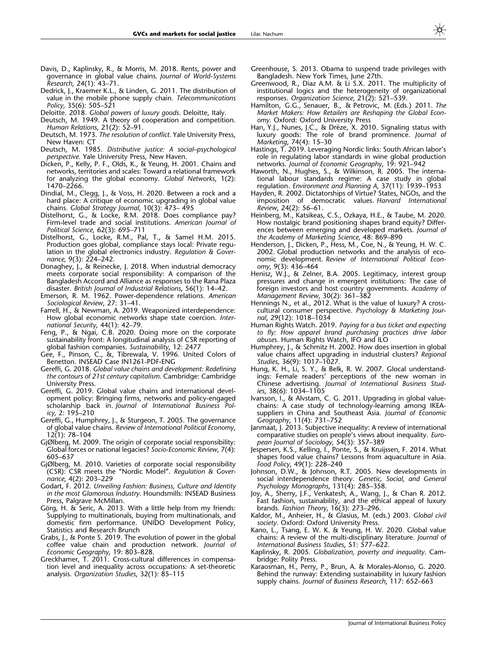- <span id="page-21-0"></span>Davis, D., Kaplinsky, R., & Morris, M. 2018. Rents, power and governance in global value chains. Journal of World-Systems Research, 24(1): 43–71.
- Dedrick, J., Kraemer K.L., & Linden, G. 2011. The distribution of value in the mobile phone supply chain. Telecommunications Policy, 35(6): 505–521
- Deloitte. 2018. Global powers of luxury goods. Deloitte, Italy.
- Deutsch, M. 1949. A theory of cooperation and competition. Human Relations, 21(2): 52-91.
- Deutsch, M. 1973. The resolution of conflict. Yale University Press, New Haven: CT
- Deutsch, M. 1985. Distributive justice: A social–psychological perspective. Yale University Press, New Haven.
- Dicken, P., Kelly, P. F., Olds, K., & Yeung, H. 2001. Chains and networks, territories and scales: Toward a relational framework for analyzing the global economy. Global Networks, 1(2): 1470–2266.
- Dindial, M., Clegg, J., & Voss, H. 2020. Between a rock and a hard place: A critique of economic upgrading in global value chains. Global Strategy Journal, 10(3): 473– 495
- Distelhorst, G., & Locke, R.M. 2018. Does compliance pay? Firm-level trade and social institutions. American Journal of Political Science, 62(3): 695–711
- Distelhorst, G., Locke, R.M., Pal, T., & Samel H.M. 2015. Production goes global, compliance stays local: Private regulation in the global electronics industry. Regulation & Governance, 9(3): 224–242.
- Donaghey, J., & Reinecke, J. 2018. When industrial democracy meets corporate social responsibility: A comparison of the Bangladesh Accord and Alliance as responses to the Rana Plaza disaster. British Journal of Industrial Relations, 56(1): 14–42.
- Emerson, R. M. 1962. Power-dependence relations. American Sociological Review, 27: 31–41.
- Farrell, H., & Newman, A. 2019. Weaponized interdependence: How global economic networks shape state coercion. International Security, 44(1): 42–79.
- Feng, P., & Ngai, C.B. 2020. Doing more on the corporate sustainability front: A longitudinal analysis of CSR reporting of global fashion companies. Sustainability, 12: 2477
- Gee, F., Pinson, C., &, Tibrewala, V. 1996. United Colors of Benetton. INSEAD Case IN1261-PDF-ENG
- Gereffi, G. 2018. Global value chains and development: Redefining the contours of 21st century capitalism. Cambridge: Cambridge University Press.
- Gereffi, G. 2019. Global value chains and international development policy: Bringing firms, networks and policy-engaged scholarship back in. Journal of International Business Policy, 2: 195–210
- Gereffi, G., Humphrey, J., & Sturgeon, T. 2005. The governance of global value chains. Review of International Political Economy, 12(1): 78–104
- GjØlberg, M. 2009. The origin of corporate social responsibility: Global forces or national legacies? Socio-Economic Review,  $7(4)$ : 605–637
- GjØlberg, M. 2010. Varieties of corporate social responsibility (CSR): CSR meets the ''Nordic Model''. Regulation & Governance, 4(2): 203–229
- Godart, F. 2012. Unveiling Fashion: Business, Culture and Identity in the most Glamorous Industry. Houndsmills: INSEAD Business Press, Palgrave McMillan.
- Görg, H. & Seric, A. 2013. With a little help from my friends: Supplying to multinationals, buying from multinationals, and domestic firm performance. UNIDO Development Policy, Statistics and Research Brunch
- Grabs, J., & Ponte S. 2019. The evolution of power in the global coffee value chain and production network. Journal of Economic Geography, 19: 803–828.
- Greckhamer, T. 2011. Cross-cultural differences in compensation level and inequality across occupations: A set-theoretic analysis. Organization Studies, 32(1): 85–115
- Greenhouse, S. 2013. Obama to suspend trade privileges with Bangladesh. New York Times, June 27th.
- Greenwood, R., Diaz A.M. & Li S.X. 2011. The multiplicity of institutional logics and the heterogeneity of organizational responses. Organization Science, 21(2): 521-539.
- Hamilton, G.G., Senauer, B., & Petrovic, M. (Eds.) 2011. The Market Makers: How Retailers are Reshaping the Global Economy. Oxford: Oxford University Press
- Han, Y.J., Nunes, J.C., & Drèze, X. 2010. Signaling status with luxury goods: The role of brand prominence. Journal of Marketing, 74(4): 15–30
- Hastings, T. 2019. Leveraging Nordic links: South African labor's role in regulating labor standards in wine global production networks. Journal of Economic Geography, 19: 921–942
- Haworth, N., Hughes, S., & Wilkinson, R. 2005. The international labour standards regime: A case study in global regulation. Environment and Planning A, 37(11): 1939–1953
- Hayden, R. 2002. Dictatorships of Virtue? States, NGOs, and the imposition of democratic values. Harvard International Review, 24(2): 56–61.
- Heinberg, M., Katsikeas, C.S., Ozkaya, H.E., & Taube, M. 2020. How nostalgic brand positioning shapes brand equity? Differences between emerging and developed markets. Journal of the Academy of Marketing Science, 48: 869–890
- Henderson, J., Dicken, P., Hess, M., Coe, N., & Yeung, H. W. C. 2002. Global production networks and the analysis of economic development. Review of International Political Economy, 9(3): 436–464
- Henisz, W.J., & Zelner, B.A. 2005. Legitimacy, interest group pressures and change in emergent institutions: The case of foreign investors and host country governments. Academy of Management Review, 30(2): 361–382
- Hennings N., et al., 2012. What is the value of luxury? A crosscultural consumer perspective. Psychology & Marketing Journal, 29(12): 1018–1034
- Human Rights Watch. 2019. Paying for a bus ticket and expecting to fly: How apparel brand purchasing practices drive labor abuses. Human Rights Watch, IFO and ILO
- Humphrey, J., & Schmitz H. 2002. How does insertion in global value chains affect upgrading in industrial clusters? Regional Studies, 36(9): 1017-1027.
- Hung, K. H., Li, S. Y., & Belk, R. W. 2007. Glocal understandings: Female readers' perceptions of the new woman in Chinese advertising. Journal of International Business Studies, 38(6): 1034–1105
- Ivarsson, I., & Alvstam, C. G. 2011. Upgrading in global valuechains: A case study of technology-learning among IKEAsuppliers in China and Southeast Asia. Journal of Economic Geography, 11(4): 731–752
- Janmaat, J. 2013. Subjective inequality: A review of international comparative studies on people's views about inequality. European Journal of Sociology, 54(3): 357–389
- Jespersen, K.S., Kelling, I., Ponte, S., & Kruijssen, F. 2014. What shapes food value chains? Lessons from aquaculture in Asia. Food Policy, 49(1): 228–240
- Johnson, D.W., & Johnson, R.T. 2005. New developments in social interdependence theory. Genetic, Social, and General Psychology Monographs, 131(4): 285-358.
- Joy, A., Sherry, J.F., Venkatesh, A., Wang, J., & Chan R. 2012. Fast fashion, sustainability, and the ethical appeal of luxury brands. Fashion Theory, 16(3): 273–296.
- Kaldor, M., Anheier, H., & Glasius, M. (eds.) 2003. Global civil society. Oxford: Oxford University Press.
- Kano, L., Tsang, E. W. K. & Yeung, H. W. 2020. Global value chains: A review of the multi-disciplinary literature. Journal of International Business Studies, 51: 577–622.
- Kaplinsky, R. 2005. Globalization, poverty and inequality. Cambridge: Polity Press.
- Karaosman, H., Perry, P., Brun, A. & Morales-Alonso, G. 2020. Behind the runway: Extending sustainability in luxury fashion supply chains. Journal of Business Research, 117: 652–663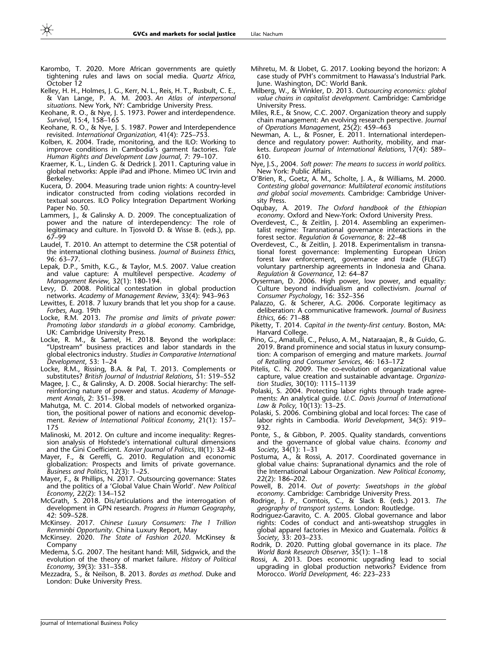- <span id="page-22-0"></span>Karombo, T. 2020. More African governments are quietly tightening rules and laws on social media. Quartz Africa, October 12
- Kelley, H. H., Holmes, J. G., Kerr, N. L., Reis, H. T., Rusbult, C. E., & Van Lange, P. A. M. 2003. An Atlas of interpersonal situations. New York, NY: Cambridge University Press.
- Keohane, R. O., & Nye, J. S. 1973. Power and interdependence. Survival, 15:4, 158–165
- Keohane, R. O., & Nye, J. S. 1987. Power and Interdependence revisited. International Organization, 41(4): 725–753.
- Kolben, K. 2004. Trade, monitoring, and the ILO: Working to improve conditions in Cambodia's garment factories. Yale Human Rights and Development Law Journal, 7: 79–107.
- Kraemer, K. L., Linden G. & Dedrick J. 2011. Capturing value in global networks: Apple iPad and iPhone. Mimeo UC Irvin and Berkeley.
- Kucera, D. 2004. Measuring trade union rights: A country-level indicator constructed from coding violations recorded in textual sources. ILO Policy Integration Department Working Paper No. 50.
- Lammers, J., & Galinsky A. D. 2009. The conceptualization of power and the nature of interdependency: The role of legitimacy and culture. In Tjosvold D. & Wisse B. (eds.), pp. 67–99
- Laudel, T. 2010. An attempt to determine the CSR potential of the international clothing business. Journal of Business Ethics, 96: 63–77.
- Lepak, D.P., Smith, K.G., & Taylor, M.S. 2007. Value creation and value capture: A multilevel perspective. Academy of Management Review, 32(1): 180-194.
- Levy, D. 2008. Political contestation in global production networks. Academy of Management Review, 33(4): 943–963
- Lewittes, E. 2018. 7 luxury brands that let you shop for a cause. Forbes, Aug. 19th
- Locke, R.M. 2013. The promise and limits of private power: Promoting labor standards in a global economy. Cambridge, UK: Cambridge University Press.
- Locke, R. M., & Samel, H. 2018. Beyond the workplace: ''Upstream'' business practices and labor standards in the global electronics industry. Studies in Comparative International Development, 53: 1–24
- Locke, R.M., Rissing, B.A. & Pal, T. 2013. Complements or substitutes? British Journal of Industrial Relations, 51: 519–552
- Magee, J. C., & Galinsky, A. D. 2008. Social hierarchy: The selfreinforcing nature of power and status. Academy of Management Annals, 2: 351–398.
- Mahutga, M. C. 2014. Global models of networked organization, the positional power of nations and economic development. Review of International Political Economy, 21(1): 157– 175
- Malinoski, M. 2012. On culture and income inequality: Regression analysis of Hofstede's international cultural dimensions and the Gini Coefficient. Xavier Journal of Politics, III(1): 32–48
- Mayer, F., & Gereffi, G. 2010. Regulation and economic globalization: Prospects and limits of private governance. Business and Politics, 12(3): 1–25.
- Mayer, F., & Phillips, N. 2017. Outsourcing governance: States and the politics of a 'Global Value Chain World'. New Political Economy, 22(2): 134–152
- McGrath, S. 2018. Dis/articulations and the interrogation of development in GPN research. Progress in Human Geography, 42: 509–528.
- McKinsey. 2017. Chinese Luxury Consumers: The 1 Trillion Renminbi Opportunity. China Luxury Report, May
- McKinsey. 2020. The State of Fashion 2020. McKinsey & **Company**
- Medema, S.G. 2007. The hesitant hand: Mill, Sidgwick, and the evolution of the theory of market failure. History of Political Economy, 39(3): 331–358.
- Mezzadra, S., & Neilson, B. 2013. Bordes as method. Duke and London: Duke University Press.
- Mihretu, M. & Llobet, G. 2017. Looking beyond the horizon: A case study of PVH's commitment to Hawassa's Industrial Park. June. Washington, DC: World Bank.
- Milberg, W., & Winkler, D. 2013. Outsourcing economics: global value chains in capitalist development. Cambridge: Cambridge University Press.
- Miles, R.E., & Snow, C.C. 2007. Organization theory and supply chain management: An evolving research perspective. Journal of Operations Management, 25(2): 459–463
- Newman, A. L., & Posner, E. 2011. International interdependence and regulatory power: Authority, mobility, and markets. European Journal of International Relations, 17(4): 589– 610.
- Nye, J.S., 2004. Soft power: The means to success in world politics. New York: Public Affairs.
- O'Brien, R., Goetz, A. M., Scholte, J. A., & Williams, M. 2000. Contesting global governance: Multilateral economic institutions and global social movements. Cambridge: Cambridge University Press.
- Oqubay, A. 2019. The Oxford handbook of the Ethiopian economy. Oxford and New-York: Oxford University Press.
- Overdevest, C., & Zeitlin, J. 2014. Assembling an experimentalist regime: Transnational governance interactions in the forest sector. Regulation & Governance, 8: 22–48
- Overdevest, C., & Zeitlin, J. 2018. Experimentalism in transnational forest governance: Implementing European Union forest law enforcement, governance and trade (FLEGT) voluntary partnership agreements in Indonesia and Ghana. Regulation & Governance, 12: 64–87
- Oyserman, D. 2006. High power, low power, and equality: Culture beyond individualism and collectivism. Journal of Consumer Psychology, 16: 352–356
- Palazzo, G. & Scherer, A.G. 2006. Corporate legitimacy as deliberation: A communicative framework. Journal of Business Ethics, 66: 71–88
- Piketty, T. 2014. Capital in the twenty-first century. Boston, MA: Harvard College.
- Pino, G., Amatulli, C., Peluso, A. M., Nataraajan, R., & Guido, G. 2019. Brand prominence and social status in luxury consumption: A comparison of emerging and mature markets. Journal of Retailing and Consumer Services, 46: 163–172
- Pitelis, C. N. 2009. The co-evolution of organizational value capture, value creation and sustainable advantage. Organization Studies, 30(10): 1115–1139
- Polaski, S. 2004. Protecting labor rights through trade agreements: An analytical guide. U.C. Davis Journal of International Law & Policy, 10(13): 13–25.
- Polaski, S. 2006. Combining global and local forces: The case of labor rights in Cambodia. World Development, 34(5): 919– 932.
- Ponte, S., & Gibbon, P. 2005. Quality standards, conventions and the governance of global value chains. Economy and Society, 34(1): 1–31
- Postuma, A., & Rossi, A. 2017. Coordinated governance in global value chains: Supranational dynamics and the role of the International Labour Organization. New Political Economy, 22(2): 186–202.
- Powell, B. 2014. Out of poverty: Sweatshops in the global economy. Cambridge: Cambridge University Press.
- Rodrige, J. P., Comtois, C., & Slack B. (eds.) 2013. The geography of transport systems. London: Routledge.
- Rodriguez-Garavito, C. A. 2005. Global governance and labor rights: Codes of conduct and anti-sweatshop struggles in global apparel factories in Mexico and Guatemala. Politics & Society, 33: 203–233.
- Rodrik, D. 2020. Putting global governance in its place. The World Bank Research Observer, 35(1): 1–18
- Rossi, A. 2013. Does economic upgrading lead to social upgrading in global production networks? Evidence from Morocco. World Development, 46: 223–233